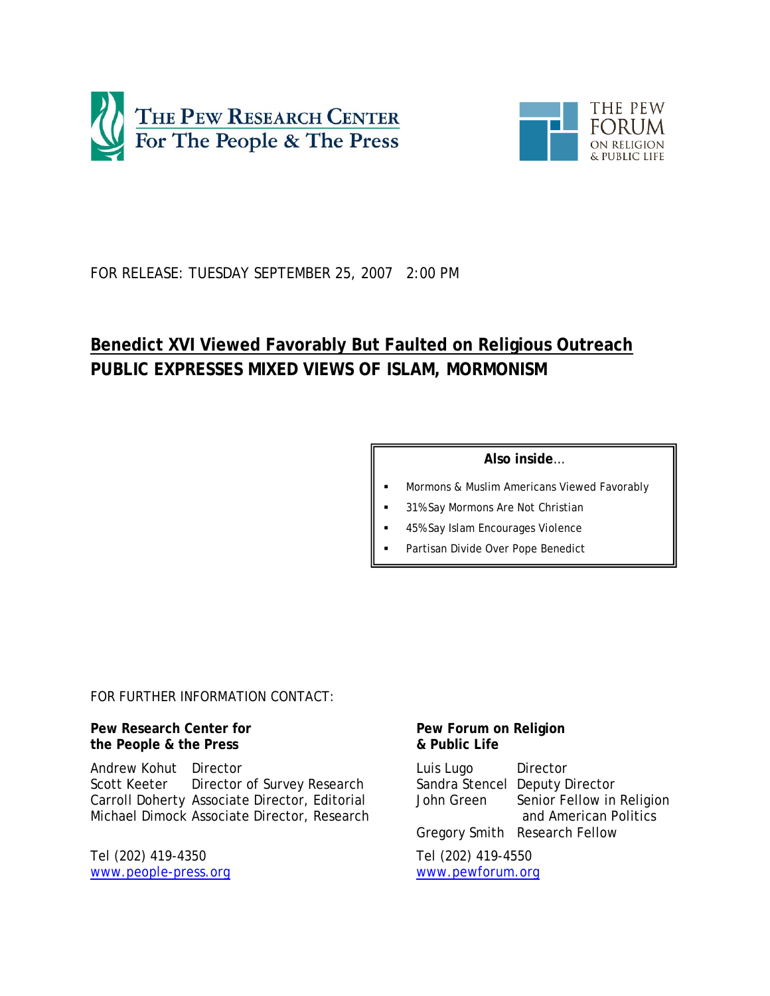



# FOR RELEASE: TUESDAY SEPTEMBER 25, 2007 2:00 PM

# **Benedict XVI Viewed Favorably But Faulted on Religious Outreach PUBLIC EXPRESSES MIXED VIEWS OF ISLAM, MORMONISM**

# **Also inside**…

- Mormons & Muslim Americans Viewed Favorably
- 31% Say Mormons Are Not Christian
- 45% Say Islam Encourages Violence
- Partisan Divide Over Pope Benedict

*FOR FURTHER INFORMATION CONTACT:*

**Pew Research Center for the People & the Press** 

Andrew Kohut Director Scott Keeter Director of Survey Research Carroll Doherty Associate Director, Editorial Michael Dimock Associate Director, Research

Tel (202) 419-4350 www.people-press.org

# **Pew Forum on Religion & Public Life**

Luis Lugo Director Sandra Stencel Deputy Director John Green Senior Fellow in Religion and American Politics Gregory Smith Research Fellow

Tel (202) 419-4550 www.pewforum.org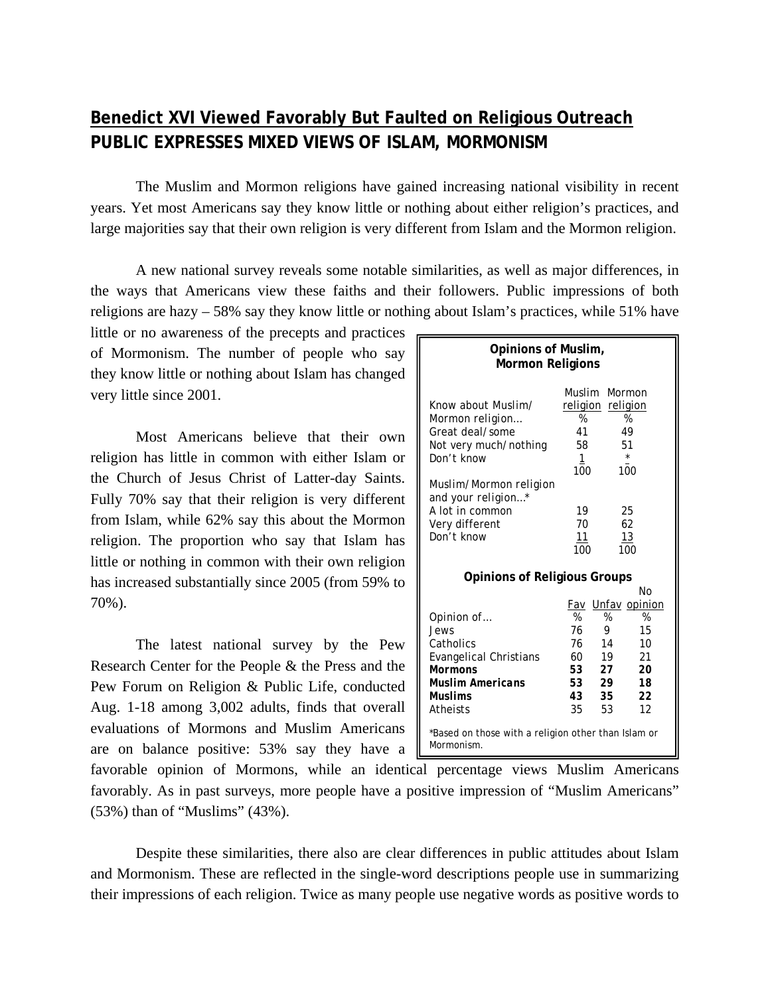# **Benedict XVI Viewed Favorably But Faulted on Religious Outreach PUBLIC EXPRESSES MIXED VIEWS OF ISLAM, MORMONISM**

The Muslim and Mormon religions have gained increasing national visibility in recent years. Yet most Americans say they know little or nothing about either religion's practices, and large majorities say that their own religion is very different from Islam and the Mormon religion.

A new national survey reveals some notable similarities, as well as major differences, in the ways that Americans view these faiths and their followers. Public impressions of both religions are hazy – 58% say they know little or nothing about Islam's practices, while 51% have

little or no awareness of the precepts and practices of Mormonism. The number of people who say they know little or nothing about Islam has changed very little since 2001.

Most Americans believe that their own religion has little in common with either Islam or the Church of Jesus Christ of Latter-day Saints. Fully 70% say that their religion is very different from Islam, while 62% say this about the Mormon religion. The proportion who say that Islam has little or nothing in common with their own religion has increased substantially since 2005 (from 59% to 70%).

The latest national survey by the Pew Research Center for the People & the Press and the Pew Forum on Religion & Public Life, conducted Aug. 1-18 among 3,002 adults, finds that overall evaluations of Mormons and Muslim Americans are on balance positive: 53% say they have a

| Opinions of Muslim,<br><b>Mormon Religions</b>                    |          |    |               |  |  |
|-------------------------------------------------------------------|----------|----|---------------|--|--|
| Muslim<br>Mormon                                                  |          |    |               |  |  |
| Know about Muslim/                                                | religion |    | religion      |  |  |
| Mormon religion                                                   | %        |    | %             |  |  |
| Great deal/some                                                   | 41       |    | 49            |  |  |
| Not very much/nothing                                             | 58       |    | 51            |  |  |
| Don't know                                                        | <u>1</u> |    | $\star$       |  |  |
|                                                                   | 100      |    | 100           |  |  |
| Muslim/Mormon religion                                            |          |    |               |  |  |
| and your religion*                                                |          |    |               |  |  |
| A lot in common                                                   | 19       |    | 25            |  |  |
| Very different                                                    | 70       |    | 62            |  |  |
| Don't know                                                        | 11       |    | 13            |  |  |
|                                                                   | 100      |    | 100           |  |  |
|                                                                   |          |    |               |  |  |
| <b>Opinions of Religious Groups</b>                               |          |    |               |  |  |
|                                                                   |          |    | No            |  |  |
|                                                                   | Fav      |    | Unfav opinion |  |  |
| Opinion of                                                        | %        | %  | %             |  |  |
| Jews                                                              | 76       | 9  | 15            |  |  |
| Catholics                                                         | 76       | 14 | 10            |  |  |
| <b>Evangelical Christians</b>                                     | 60       | 19 | 21            |  |  |
| <b>Mormons</b>                                                    | 53       | 27 | 20            |  |  |
| <b>Muslim Americans</b>                                           | 53       | 29 | 18            |  |  |
| <b>Muslims</b>                                                    | 43       | 35 | 22            |  |  |
| Atheists                                                          | 35       | 53 | 12            |  |  |
| *Based on those with a religion other than Islam or<br>Mormonism. |          |    |               |  |  |

favorable opinion of Mormons, while an identical percentage views Muslim Americans favorably. As in past surveys, more people have a positive impression of "Muslim Americans" (53%) than of "Muslims" (43%).

Despite these similarities, there also are clear differences in public attitudes about Islam and Mormonism. These are reflected in the single-word descriptions people use in summarizing their impressions of each religion. Twice as many people use negative words as positive words to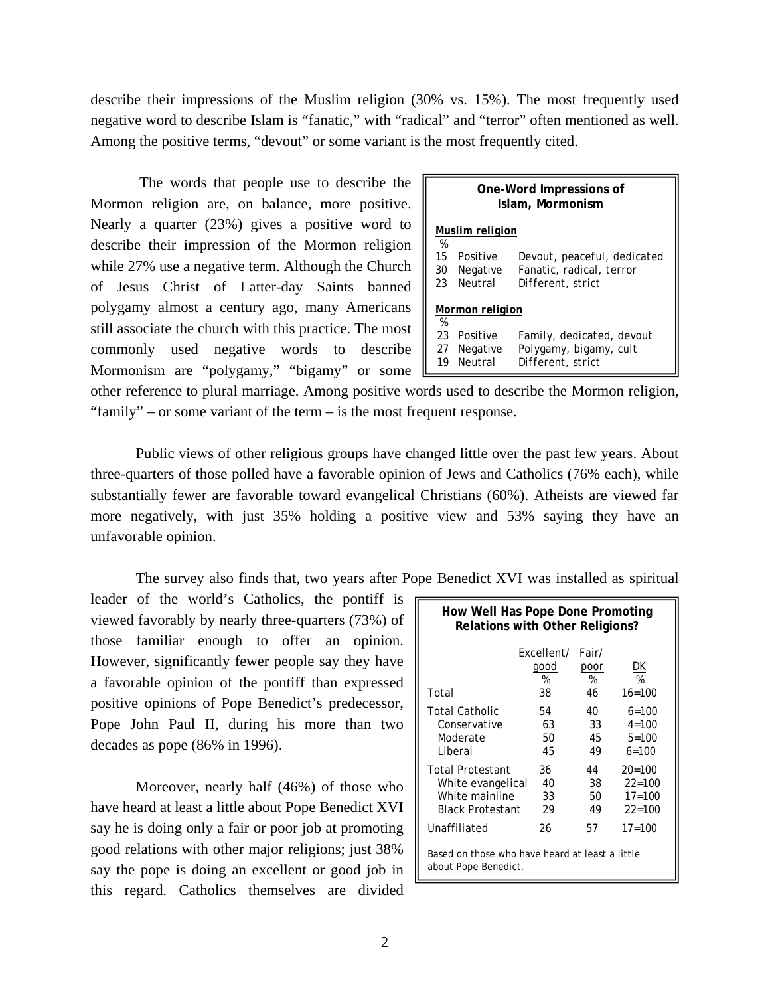describe their impressions of the Muslim religion (30% vs. 15%). The most frequently used negative word to describe Islam is "fanatic," with "radical" and "terror" often mentioned as well. Among the positive terms, "devout" or some variant is the most frequently cited.

 The words that people use to describe the Mormon religion are, on balance, more positive. Nearly a quarter (23%) gives a positive word to describe their impression of the Mormon religion while 27% use a negative term. Although the Church of Jesus Christ of Latter-day Saints banned polygamy almost a century ago, many Americans still associate the church with this practice. The most commonly used negative words to describe Mormonism are "polygamy," "bigamy" or some

|                | One-Word Impressions of<br>Islam, Mormonism |                                                                              |  |  |  |
|----------------|---------------------------------------------|------------------------------------------------------------------------------|--|--|--|
| %              | <b>Muslim</b> religion                      |                                                                              |  |  |  |
| 15<br>30<br>23 | Positive<br>Negative<br>Neutral             | Devout, peaceful, dedicated<br>Fanatic, radical, terror<br>Different, strict |  |  |  |
| %              | Mormon religion                             |                                                                              |  |  |  |
| 23<br>19       | Positive<br>27 Negative<br>Neutral          | Family, dedicated, devout<br>Polygamy, bigamy, cult<br>Different, strict     |  |  |  |

other reference to plural marriage. Among positive words used to describe the Mormon religion, "family" – or some variant of the term – is the most frequent response.

Public views of other religious groups have changed little over the past few years. About three-quarters of those polled have a favorable opinion of Jews and Catholics (76% each), while substantially fewer are favorable toward evangelical Christians (60%). Atheists are viewed far more negatively, with just 35% holding a positive view and 53% saying they have an unfavorable opinion.

The survey also finds that, two years after Pope Benedict XVI was installed as spiritual

leader of the world's Catholics, the pontiff is viewed favorably by nearly three-quarters (73%) of those familiar enough to offer an opinion. However, significantly fewer people say they have a favorable opinion of the pontiff than expressed positive opinions of Pope Benedict's predecessor, Pope John Paul II, during his more than two decades as pope (86% in 1996).

Moreover, nearly half (46%) of those who have heard at least a little about Pope Benedict XVI say he is doing only a fair or poor job at promoting good relations with other major religions; just 38% say the pope is doing an excellent or good job in this regard. Catholics themselves are divided

| How Well Has Pope Done Promoting<br><b>Relations with Other Religions?</b>                |                               |                          |                                                      |  |
|-------------------------------------------------------------------------------------------|-------------------------------|--------------------------|------------------------------------------------------|--|
| Total                                                                                     | Fxcellent/<br>qood<br>%<br>38 | Fair/<br>poor<br>%<br>46 | DK<br>%<br>$16 = 100$                                |  |
| Total Catholic<br>Conservative<br>Moderate<br>I iberal                                    | 54<br>63<br>50<br>45          | 40<br>33<br>45<br>49     | $6 = 100$<br>$4 = 100$<br>$5 = 100$<br>$6=100$       |  |
| <b>Total Protestant</b><br>White evangelical<br>White mainline<br><b>Black Protestant</b> | 36<br>40<br>33<br>29          | 44<br>38<br>50<br>49     | $20 = 100$<br>$22 = 100$<br>$17 = 100$<br>$22 = 100$ |  |
| Unaffiliated                                                                              | 26                            | 57                       | $17 = 100$                                           |  |
| Based on those who have heard at least a little<br>about Pope Benedict.                   |                               |                          |                                                      |  |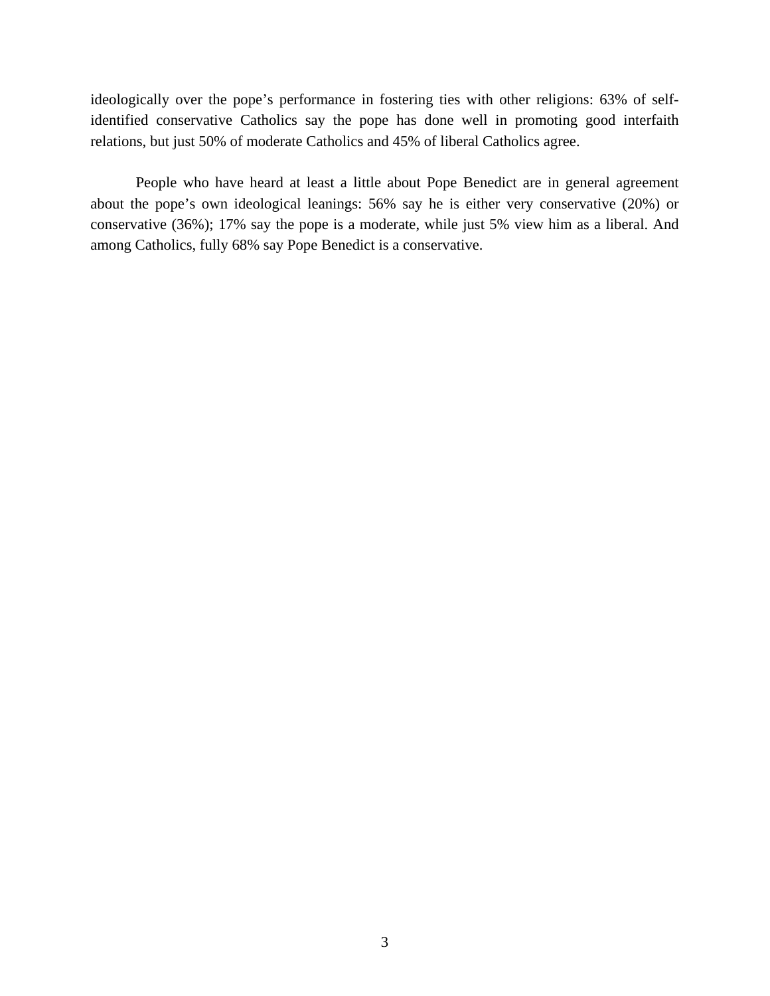ideologically over the pope's performance in fostering ties with other religions: 63% of selfidentified conservative Catholics say the pope has done well in promoting good interfaith relations, but just 50% of moderate Catholics and 45% of liberal Catholics agree.

People who have heard at least a little about Pope Benedict are in general agreement about the pope's own ideological leanings: 56% say he is either very conservative (20%) or conservative (36%); 17% say the pope is a moderate, while just 5% view him as a liberal. And among Catholics, fully 68% say Pope Benedict is a conservative.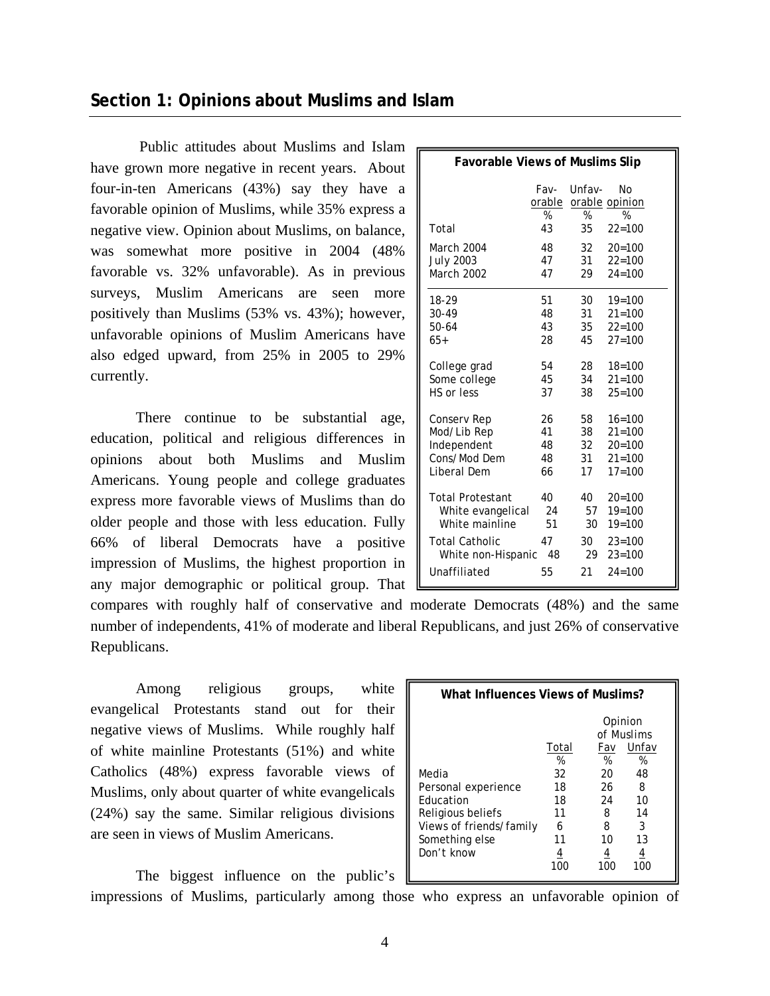# **Section 1: Opinions about Muslims and Islam**

 Public attitudes about Muslims and Islam have grown more negative in recent years. About four-in-ten Americans (43%) say they have a favorable opinion of Muslims, while 35% express a negative view. Opinion about Muslims, on balance, was somewhat more positive in 2004 (48% favorable vs. 32% unfavorable). As in previous surveys, Muslim Americans are seen more positively than Muslims (53% vs. 43%); however, unfavorable opinions of Muslim Americans have also edged upward, from 25% in 2005 to 29% currently.

 There continue to be substantial age, education, political and religious differences in opinions about both Muslims and Muslim Americans. Young people and college graduates express more favorable views of Muslims than do older people and those with less education. Fully 66% of liberal Democrats have a positive impression of Muslims, the highest proportion in any major demographic or political group. That

| <b>Favorable Views of Muslims Slip</b> |                              |                   |                                         |  |
|----------------------------------------|------------------------------|-------------------|-----------------------------------------|--|
| Total                                  | Fav-<br>orable<br>$\%$<br>43 | Unfav-<br>%<br>35 | Nο<br>orable opinion<br>%<br>$22 = 100$ |  |
| March 2004                             | 48                           | 32                | $20 = 100$                              |  |
| <b>July 2003</b>                       | 47                           | 31                | $22 = 100$                              |  |
| March 2002                             | 47                           | 29                | $24 = 100$                              |  |
| 18-29                                  | 51                           | 30                | $19 = 100$                              |  |
| 30-49                                  | 48                           | 31                | $21 = 100$                              |  |
| 50-64                                  | 43                           | 35                | $22 = 100$                              |  |
| $65+$                                  | 28                           | 45                | $27 = 100$                              |  |
| College grad                           | 54                           | 28                | $18 = 100$                              |  |
| Some college                           | 45                           | 34                | $21 = 100$                              |  |
| HS or less                             | 37                           | 38                | $25 = 100$                              |  |
| Conserv Rep                            | 26                           | 58                | $16 = 100$                              |  |
| Mod/Lib Rep                            | 41                           | 38                | $21 = 100$                              |  |
| Independent                            | 48                           | 32                | $20 = 100$                              |  |
| Cons/Mod Dem                           | 48                           | 31                | $21 = 100$                              |  |
| Liberal Dem                            | 66                           | 17                | $17 = 100$                              |  |
| <b>Total Protestant</b>                | 40                           | 40                | $20 = 100$                              |  |
| White evangelical                      | 24                           | 57                | $19 = 100$                              |  |
| White mainline                         | 51                           | 30                | $19 = 100$                              |  |
| <b>Total Catholic</b>                  | 47                           | 30                | $23 = 100$                              |  |
| White non-Hispanic                     | 48                           | 29                | $23 = 100$                              |  |
| Unaffiliated                           | 55                           | 21                | $24 = 100$                              |  |

compares with roughly half of conservative and moderate Democrats (48%) and the same number of independents, 41% of moderate and liberal Republicans, and just 26% of conservative Republicans.

Among religious groups, white evangelical Protestants stand out for their negative views of Muslims. While roughly half of white mainline Protestants (51%) and white Catholics (48%) express favorable views of Muslims, only about quarter of white evangelicals (24%) say the same. Similar religious divisions are seen in views of Muslim Americans.

| What Influences Views of Muslims?                                                                                                |                                                                        |                                            |                                                                       |  |  |
|----------------------------------------------------------------------------------------------------------------------------------|------------------------------------------------------------------------|--------------------------------------------|-----------------------------------------------------------------------|--|--|
| Media<br>Personal experience<br><b>Education</b><br>Religious beliefs<br>Views of friends/family<br>Something else<br>Don't know | Total<br>%<br>32<br>18<br>18<br>11<br>6<br>11<br>$\overline{4}$<br>100 | Fav<br>%<br>20<br>26<br>24<br>8<br>8<br>10 | Opinion<br>of Muslims<br>Unfav<br>%<br>48<br>8<br>10<br>14<br>3<br>13 |  |  |

The biggest influence on the public's impressions of Muslims, particularly among those who express an unfavorable opinion of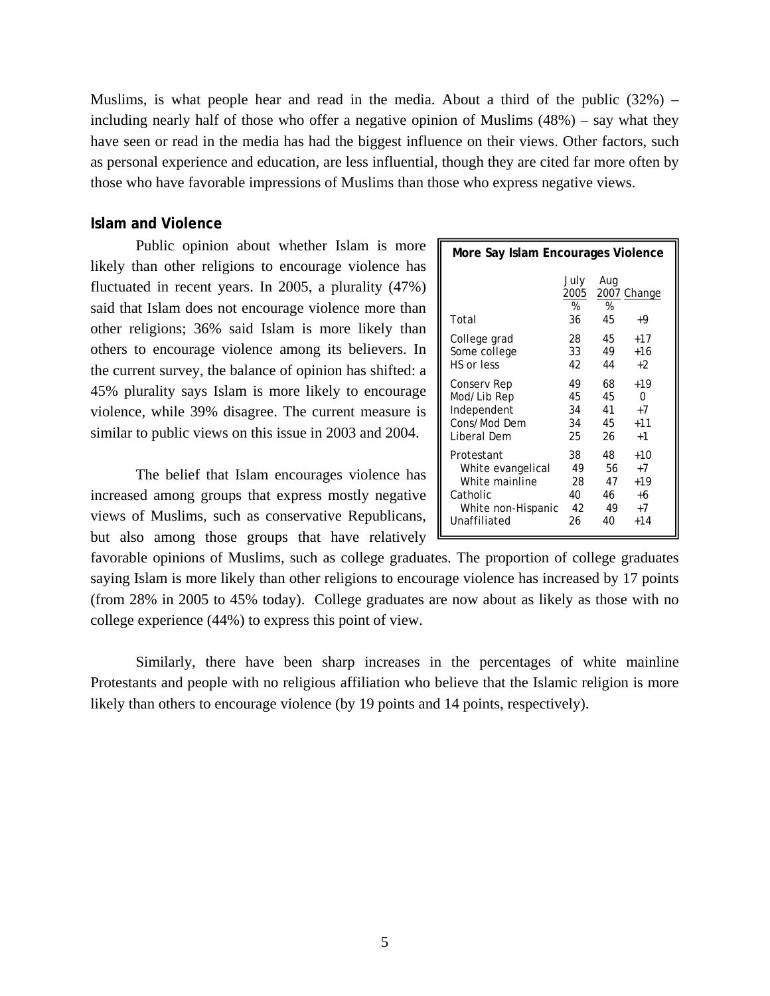Muslims, is what people hear and read in the media. About a third of the public  $(32%)$  – including nearly half of those who offer a negative opinion of Muslims (48%) – say what they have seen or read in the media has had the biggest influence on their views. Other factors, such as personal experience and education, are less influential, though they are cited far more often by those who have favorable impressions of Muslims than those who express negative views.

# **Islam and Violence**

Public opinion about whether Islam is more likely than other religions to encourage violence has fluctuated in recent years. In 2005, a plurality (47%) said that Islam does not encourage violence more than other religions; 36% said Islam is more likely than others to encourage violence among its believers. In the current survey, the balance of opinion has shifted: a 45% plurality says Islam is more likely to encourage violence, while 39% disagree. The current measure is similar to public views on this issue in 2003 and 2004.

 The belief that Islam encourages violence has increased among groups that express mostly negative views of Muslims, such as conservative Republicans, but also among those groups that have relatively  $\mathbb{E}$ 

| More Say Islam Encourages Violence |                         |                |                   |
|------------------------------------|-------------------------|----------------|-------------------|
| Total                              | July<br>2005<br>%<br>36 | Aug<br>%<br>45 | 2007 Change<br>+9 |
| College grad                       | 28                      | 45             | $+17$             |
| Some college                       | 33                      | 49             | $+16$             |
| HS or less                         | 42                      | 44             | $+2$              |
| Conserv Rep                        | 49                      | 68             | $+19$             |
| Mod/Lib Rep                        | 45                      | 45             | 0                 |
| Independent                        | 34                      | 41             | $+7$              |
| Cons/Mod Dem                       | 34                      | 45             | $+11$             |
| Liberal Dem                        | 25                      | 26             | $+1$              |
| Protestant                         | 38                      | 48             | +10               |
| White evangelical                  | 49                      | 56             | $+7$              |
| White mainline                     | 28                      | 47             | $+19$             |
| Catholic                           | 40                      | 46             | +6                |
| White non-Hispanic                 | 42                      | 49             | $+7$              |
| Unaffiliated                       | 26                      | 40             | $+14$             |

favorable opinions of Muslims, such as college graduates. The proportion of college graduates saying Islam is more likely than other religions to encourage violence has increased by 17 points (from 28% in 2005 to 45% today). College graduates are now about as likely as those with no college experience (44%) to express this point of view.

 Similarly, there have been sharp increases in the percentages of white mainline Protestants and people with no religious affiliation who believe that the Islamic religion is more likely than others to encourage violence (by 19 points and 14 points, respectively).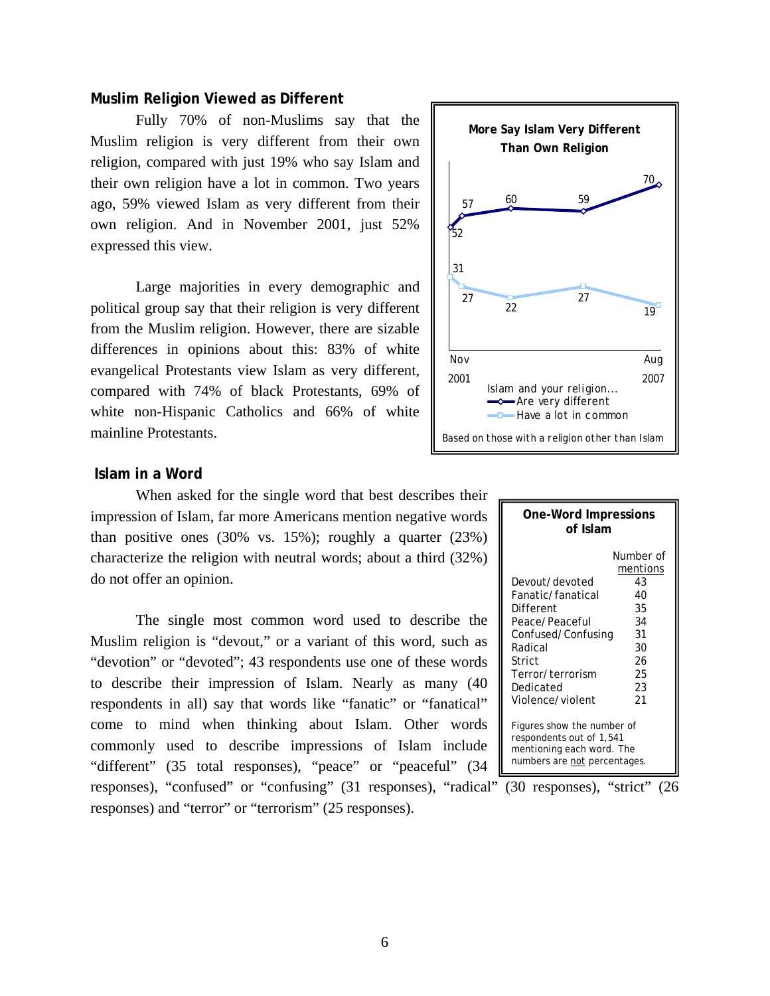# **Muslim Religion Viewed as Different**

 Fully 70% of non-Muslims say that the Muslim religion is very different from their own religion, compared with just 19% who say Islam and their own religion have a lot in common. Two years ago, 59% viewed Islam as very different from their own religion. And in November 2001, just 52% expressed this view.

 Large majorities in every demographic and political group say that their religion is very different from the Muslim religion. However, there are sizable differences in opinions about this: 83% of white evangelical Protestants view Islam as very different, compared with 74% of black Protestants, 69% of white non-Hispanic Catholics and 66% of white mainline Protestants.



# **Islam in a Word**

 When asked for the single word that best describes their impression of Islam, far more Americans mention negative words than positive ones (30% vs. 15%); roughly a quarter (23%) characterize the religion with neutral words; about a third (32%) do not offer an opinion.

 The single most common word used to describe the Muslim religion is "devout," or a variant of this word, such as "devotion" or "devoted"; 43 respondents use one of these words to describe their impression of Islam. Nearly as many (40 respondents in all) say that words like "fanatic" or "fanatical" come to mind when thinking about Islam. Other words commonly used to describe impressions of Islam include "different" (35 total responses), "peace" or "peaceful" (34 responses), "confused" or "confusing" (31 responses), "radical" (30 responses), "strict" (26

responses) and "terror" or "terrorism" (25 responses).

| <b>One-Word Impressions</b><br>of Islam                                                                                                                                                                                                                                                   |                                                                                   |  |  |
|-------------------------------------------------------------------------------------------------------------------------------------------------------------------------------------------------------------------------------------------------------------------------------------------|-----------------------------------------------------------------------------------|--|--|
| Devout/devoted<br>Fanatic/fanatical<br>Different<br>Peace/Peaceful<br>Confused/Confusing<br>Radical<br>Strict<br>Terror/terrorism<br>Dedicated<br>Violence/violent<br>Figures show the number of<br>respondents out of 1,541<br>mentioning each word. The<br>numbers are not percentages. | Number of<br>mentions<br>43<br>40<br>35<br>34<br>31<br>30<br>26<br>25<br>23<br>21 |  |  |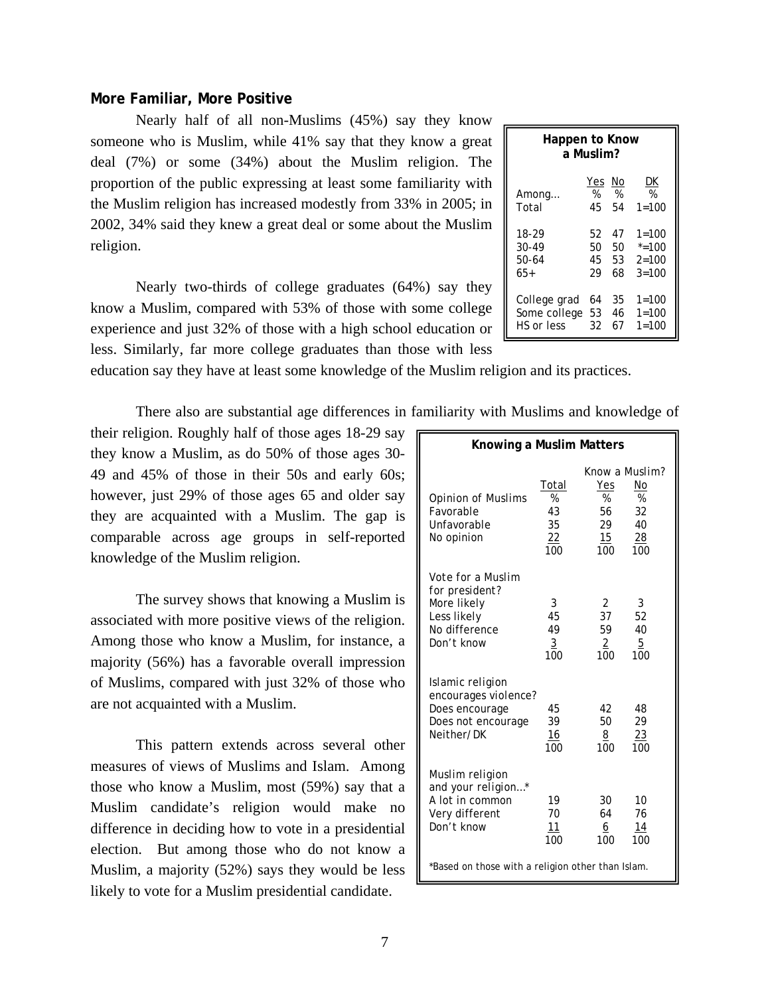| Happen to Know<br>a Muslim? |     |    |           |  |  |
|-----------------------------|-----|----|-----------|--|--|
| Among                       | Yes | No | DK        |  |  |
|                             | %   | %  | %         |  |  |
| Total                       | 45  | 54 | $1 = 100$ |  |  |
| 18-29                       | 52  | 47 | $1 = 100$ |  |  |
| 30-49                       | 50  | 50 | $* = 100$ |  |  |
| 50-64                       | 45  | 53 | $2 = 100$ |  |  |
| $65+$                       | 29  | 68 | $3 = 100$ |  |  |
| College grad                | 64  | 35 | $1 = 100$ |  |  |
| Some college                | 53  | 46 | $1 = 100$ |  |  |
| HS or less                  | 32  | 67 | $1 = 100$ |  |  |

# **More Familiar, More Positive**

Nearly half of all non-Muslims (45%) say they know someone who is Muslim, while 41% say that they know a great deal (7%) or some (34%) about the Muslim religion. The proportion of the public expressing at least some familiarity with the Muslim religion has increased modestly from 33% in 2005; in 2002, 34% said they knew a great deal or some about the Muslim religion.

 Nearly two-thirds of college graduates (64%) say they know a Muslim, compared with 53% of those with some college experience and just 32% of those with a high school education or less. Similarly, far more college graduates than those with less

education say they have at least some knowledge of the Muslim religion and its practices.

There also are substantial age differences in familiarity with Muslims and knowledge of

their religion. Roughly half of those ages 18-29 say they know a Muslim, as do 50% of those ages 30- 49 and 45% of those in their 50s and early 60s; however, just 29% of those ages 65 and older say they are acquainted with a Muslim. The gap is comparable across age groups in self-reported knowledge of the Muslim religion.

 The survey shows that knowing a Muslim is associated with more positive views of the religion. Among those who know a Muslim, for instance, a majority (56%) has a favorable overall impression of Muslims, compared with just 32% of those who are not acquainted with a Muslim.

 This pattern extends across several other measures of views of Muslims and Islam. Among those who know a Muslim, most (59%) say that a Muslim candidate's religion would make no difference in deciding how to vote in a presidential election. But among those who do not know a Muslim, a majority (52%) says they would be less likely to vote for a Muslim presidential candidate.

| Knowing a Muslim Matters                                                                                |                                        |                                                     |                                        |
|---------------------------------------------------------------------------------------------------------|----------------------------------------|-----------------------------------------------------|----------------------------------------|
| <b>Opinion of Muslims</b><br>Favorable<br>Unfavorable<br>No opinion                                     | Total<br>%<br>43<br>35<br>22<br>100    | Know a Muslim?<br>Yes<br>%<br>56<br>29<br>15<br>100 | No<br>%<br>32<br>40<br>28<br>100       |
| <i>Vote for a Muslim</i><br>for president?<br>More likely<br>Less likely<br>No difference<br>Don't know | 3<br>45<br>49<br>$\overline{3}$<br>100 | 2<br>37<br>59<br>$\overline{2}$<br>100              | 3<br>52<br>40<br>$\overline{5}$<br>100 |
| Islamic religion<br>encourages violence?<br>Does encourage<br>Does not encourage<br>Neither/DK          | 45<br>39<br>16<br>100                  | 42<br>50<br>8<br>100                                | 48<br>29<br>23<br>100                  |
| Muslim religion<br>and your religion*<br>A lot in common<br>Very different<br>Don't know                | 19<br>70<br>11<br>100                  | 30<br>64<br>6<br>100                                | 10<br>76<br>14<br>100                  |
| *Based on those with a religion other than Islam.                                                       |                                        |                                                     |                                        |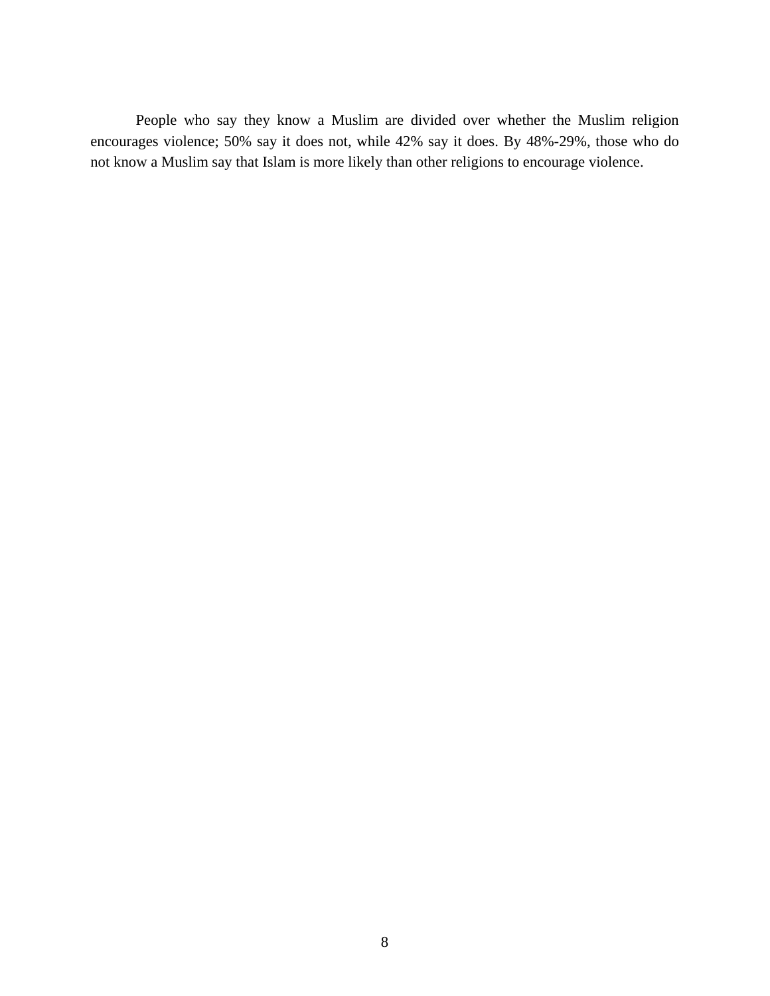People who say they know a Muslim are divided over whether the Muslim religion encourages violence; 50% say it does not, while 42% say it does. By 48%-29%, those who do not know a Muslim say that Islam is more likely than other religions to encourage violence.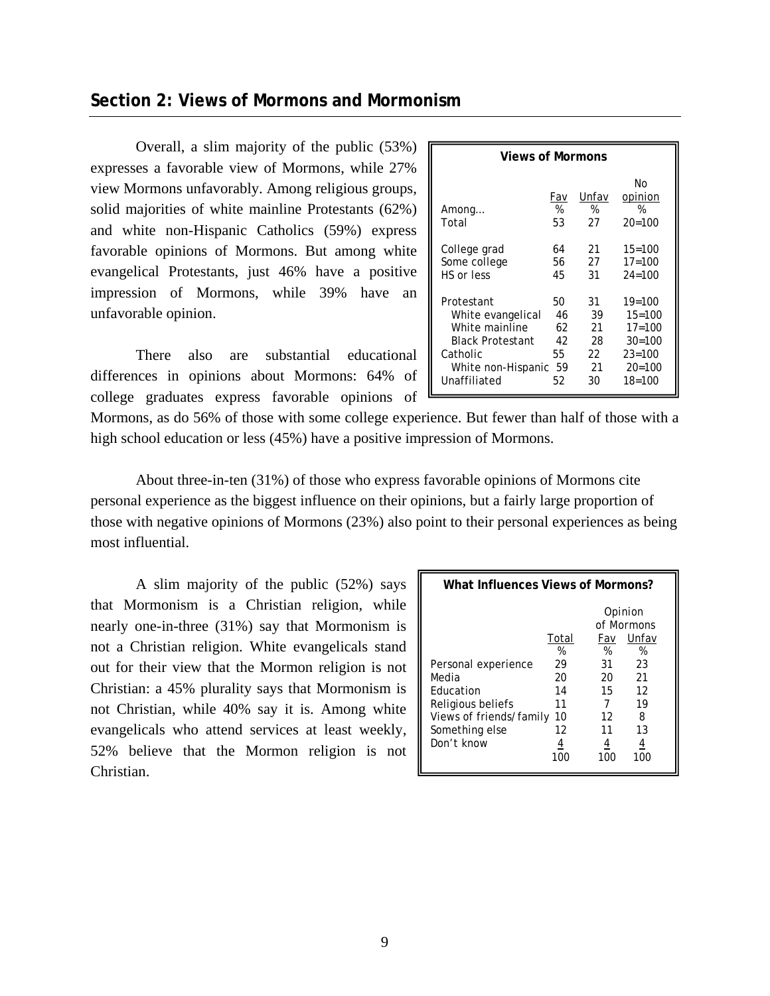# **Section 2: Views of Mormons and Mormonism**

 Overall, a slim majority of the public (53%) expresses a favorable view of Mormons, while 27% view Mormons unfavorably. Among religious groups, solid majorities of white mainline Protestants (62%) and white non-Hispanic Catholics (59%) express favorable opinions of Mormons. But among white evangelical Protestants, just 46% have a positive impression of Mormons, while 39% have an unfavorable opinion.

 There also are substantial educational differences in opinions about Mormons: 64% of college graduates express favorable opinions of

| <b>Views of Mormons</b> |                |                  |                                  |  |
|-------------------------|----------------|------------------|----------------------------------|--|
| Among<br>Total          | Fav<br>%<br>53 | Unfav<br>℅<br>27 | No<br>opinion<br>%<br>$20 = 100$ |  |
| College grad            | 64             | 21               | $15 = 100$                       |  |
| Some college            | 56             | 27               | $17 = 100$                       |  |
| HS or less              | 45             | 31               | $24 = 100$                       |  |
| Protestant              | 50             | 31               | $19 = 100$                       |  |
| White evangelical       | 46             | 39               | $15 = 100$                       |  |
| White mainline          | 62             | 21               | $17 = 100$                       |  |
| <b>Black Protestant</b> | 42             | 28               | $30 = 100$                       |  |
| Catholic                | 55             | 22               | $23 = 100$                       |  |
| White non-Hispanic      | 59             | 21               | $20 = 100$                       |  |
| Unaffiliated            | 52             | 30               | $18 = 100$                       |  |

Mormons, as do 56% of those with some college experience. But fewer than half of those with a high school education or less (45%) have a positive impression of Mormons.

About three-in-ten (31%) of those who express favorable opinions of Mormons cite personal experience as the biggest influence on their opinions, but a fairly large proportion of those with negative opinions of Mormons (23%) also point to their personal experiences as being most influential.

 A slim majority of the public (52%) says that Mormonism is a Christian religion, while nearly one-in-three (31%) say that Mormonism is not a Christian religion. White evangelicals stand out for their view that the Mormon religion is not Christian: a 45% plurality says that Mormonism is not Christian, while 40% say it is. Among white evangelicals who attend services at least weekly, 52% believe that the Mormon religion is not Christian.

| What Influences Views of Mormons?                                                                                                |                                                            |                                                    |                                                                                    |  |
|----------------------------------------------------------------------------------------------------------------------------------|------------------------------------------------------------|----------------------------------------------------|------------------------------------------------------------------------------------|--|
| Personal experience<br>Media<br><b>Education</b><br>Religious beliefs<br>Views of friends/family<br>Something else<br>Don't know | Total<br>%<br>29<br>20<br>14<br>11<br>10<br>12<br>4<br>100 | Fav<br>%<br>31<br>20<br>15<br>12<br>11<br>4<br>100 | Opinion<br>of Mormons<br>Unfav<br>%<br>23<br>21<br>12<br>19<br>8<br>13<br>4<br>100 |  |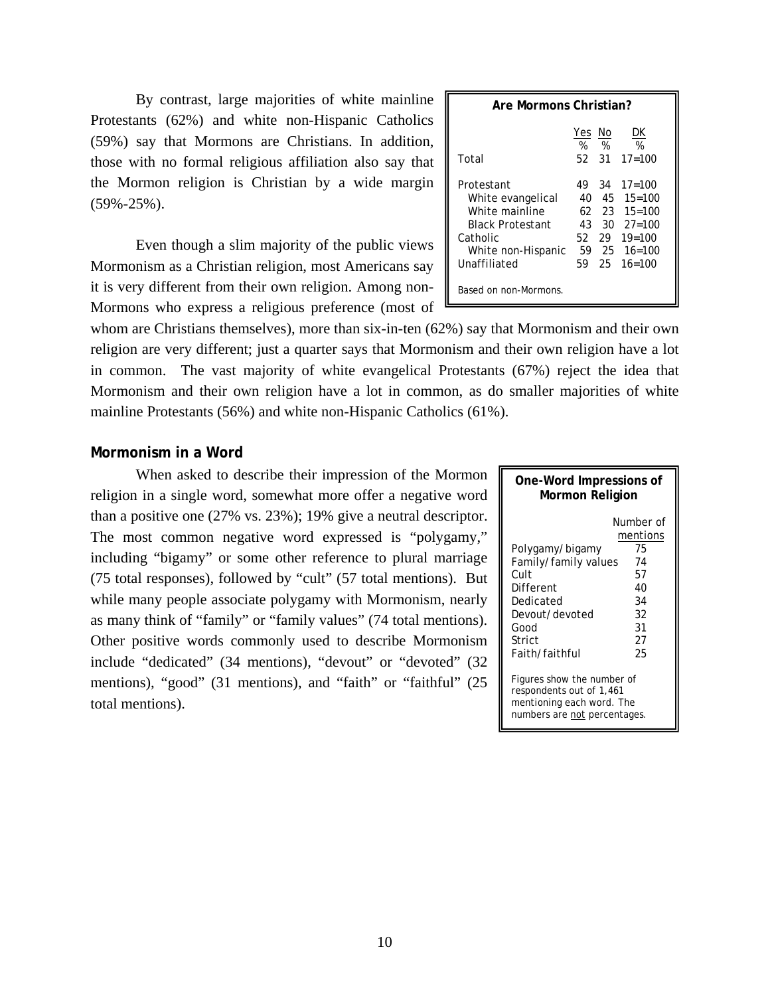By contrast, large majorities of white mainline Protestants (62%) and white non-Hispanic Catholics (59%) say that Mormons are Christians. In addition, those with no formal religious affiliation also say that the Mormon religion is Christian by a wide margin (59%-25%).

Even though a slim majority of the public views Mormonism as a Christian religion, most Americans say it is very different from their own religion. Among non-Mormons who express a religious preference (most of  $\Box$ 

| Are Mormons Christian?                                                                                                         |              |       |                                                                                                                                                                        |  |
|--------------------------------------------------------------------------------------------------------------------------------|--------------|-------|------------------------------------------------------------------------------------------------------------------------------------------------------------------------|--|
|                                                                                                                                | Yes No<br>%% |       | DK<br>%                                                                                                                                                                |  |
| Total                                                                                                                          |              | 52 31 | $17 = 100$                                                                                                                                                             |  |
| Protestant<br>White evangelical<br>White mainline<br><b>Black Protestant</b><br>Catholic<br>White non-Hispanic<br>Unaffiliated | 49.<br>52.   |       | $34 \quad 17 = 100$<br>$40 \quad 45 \quad 15 = 100$<br>$62$ $23$ $15=100$<br>$43 \quad 30 \quad 27 = 100$<br>$29 \quad 19 = 100$<br>59 25 16=100<br>$59$ $25$ $16=100$ |  |
| Based on non-Mormons.                                                                                                          |              |       |                                                                                                                                                                        |  |

whom are Christians themselves), more than six-in-ten (62%) say that Mormonism and their own religion are very different; just a quarter says that Mormonism and their own religion have a lot in common. The vast majority of white evangelical Protestants (67%) reject the idea that Mormonism and their own religion have a lot in common, as do smaller majorities of white mainline Protestants (56%) and white non-Hispanic Catholics (61%).

# **Mormonism in a Word**

 When asked to describe their impression of the Mormon religion in a single word, somewhat more offer a negative word than a positive one (27% vs. 23%); 19% give a neutral descriptor. The most common negative word expressed is "polygamy," including "bigamy" or some other reference to plural marriage (75 total responses), followed by "cult" (57 total mentions). But while many people associate polygamy with Mormonism, nearly as many think of "family" or "family values" (74 total mentions). Other positive words commonly used to describe Mormonism include "dedicated" (34 mentions), "devout" or "devoted" (32 mentions), "good" (31 mentions), and "faith" or "faithful" (25 total mentions).

| One-Word Impressions of<br>Mormon Religion                                                                                      |                                                                             |  |  |  |  |  |
|---------------------------------------------------------------------------------------------------------------------------------|-----------------------------------------------------------------------------|--|--|--|--|--|
| Polygamy/bigamy<br>Family/family values<br>Cult<br>Different<br>Dedicated<br>Devout/devoted<br>Good<br>Strict<br>Faith/faithful | Number of<br>mentions<br>75<br>74<br>57<br>40<br>34<br>32<br>31<br>27<br>25 |  |  |  |  |  |
| Figures show the number of<br>respondents out of 1,461<br>mentioning each word. The<br>numbers are not percentages.             |                                                                             |  |  |  |  |  |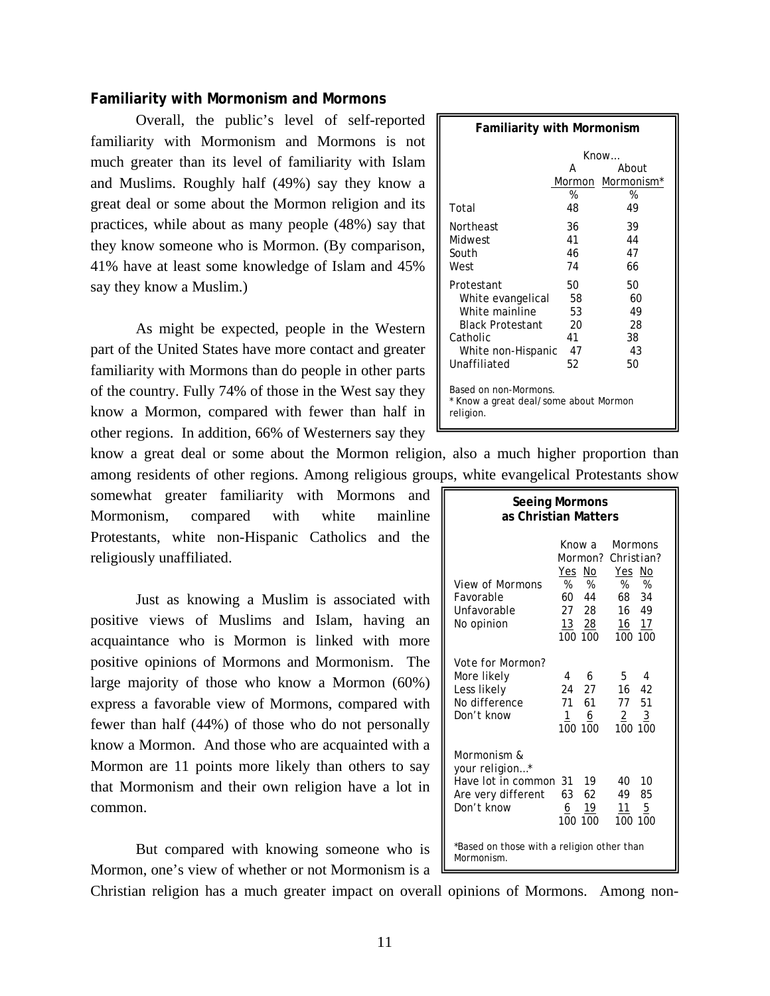# **Familiarity with Mormonism and Mormons**

Overall, the public's level of self-reported familiarity with Mormonism and Mormons is not much greater than its level of familiarity with Islam and Muslims. Roughly half (49%) say they know a great deal or some about the Mormon religion and its practices, while about as many people (48%) say that they know someone who is Mormon. (By comparison, 41% have at least some knowledge of Islam and 45% say they know a Muslim.)

 As might be expected, people in the Western part of the United States have more contact and greater familiarity with Mormons than do people in other parts of the country. Fully 74% of those in the West say they know a Mormon, compared with fewer than half in other regions. In addition, 66% of Westerners say they

know a great deal or some about the Mormon religion, also a much higher proportion than among residents of other regions. Among religious groups, white evangelical Protestants show

somewhat greater familiarity with Mormons and Mormonism, compared with white mainline Protestants, white non-Hispanic Catholics and the religiously unaffiliated.

Just as knowing a Muslim is associated with positive views of Muslims and Islam, having an acquaintance who is Mormon is linked with more positive opinions of Mormons and Mormonism. The large majority of those who know a Mormon (60%) express a favorable view of Mormons, compared with fewer than half (44%) of those who do not personally know a Mormon. And those who are acquainted with a Mormon are 11 points more likely than others to say that Mormonism and their own religion have a lot in common.

 But compared with knowing someone who is Mormon, one's view of whether or not Mormonism is a

| <b>Familiarity with Mormonism</b>                                           |    |                               |  |  |  |  |
|-----------------------------------------------------------------------------|----|-------------------------------|--|--|--|--|
| Know                                                                        |    |                               |  |  |  |  |
| About<br>А                                                                  |    |                               |  |  |  |  |
|                                                                             |    | Mormon Mormonism <sup>*</sup> |  |  |  |  |
|                                                                             | %  | %                             |  |  |  |  |
| Total                                                                       | 48 | 49                            |  |  |  |  |
| Northeast                                                                   | 36 | 39                            |  |  |  |  |
| Midwest                                                                     | 41 | 44                            |  |  |  |  |
| South                                                                       | 46 | 47                            |  |  |  |  |
| West                                                                        | 74 | 66                            |  |  |  |  |
| Protestant                                                                  | 50 | 50                            |  |  |  |  |
| White evangelical                                                           | 58 | 60                            |  |  |  |  |
| White mainline                                                              | 53 | 49                            |  |  |  |  |
| <b>Black Protestant</b>                                                     | 20 | 28                            |  |  |  |  |
| Catholic                                                                    | 41 | 38                            |  |  |  |  |
| White non-Hispanic                                                          | 47 | 43                            |  |  |  |  |
| Unaffiliated                                                                | 52 | 50                            |  |  |  |  |
| Based on non-Mormons.<br>* Know a great deal/some about Mormon<br>religion. |    |                               |  |  |  |  |

| <b>Seeing Mormons</b><br>as Christian Matters                                           |                                                                         |                                                                                            |  |  |  |  |
|-----------------------------------------------------------------------------------------|-------------------------------------------------------------------------|--------------------------------------------------------------------------------------------|--|--|--|--|
| <i>View of Mormons</i><br>Favorable<br>Unfavorable<br>No opinion                        | Know a<br>Mormon?<br>Yes No<br>%%<br>60 44<br>27 28<br>13 28<br>100 100 | Mormons<br>Christian?<br>Yes No<br>%<br>%<br>68<br>34<br>16<br>- 49<br>16<br>17<br>100 100 |  |  |  |  |
| <i>Vote for Mormon?</i><br>More likely<br>Less likely<br>No difference<br>Don't know    | 6<br>4<br>24<br>27<br>71<br>61<br>$\mathbf{1}$<br>6<br>100<br>100       | 5.<br>4<br>16<br>42<br>77 51<br>$\overline{2}$<br>$\overline{3}$<br>100<br>100             |  |  |  |  |
| Mormonism &<br>your religion*<br>Have lot in common<br>Are very different<br>Don't know | 31<br>19<br>63<br>62<br><u>6</u><br>19<br>100<br>100                    | 40<br>10<br>49<br>85<br>11<br>5<br>100 100                                                 |  |  |  |  |
| *Based on those with a religion other than<br>Mormonism.                                |                                                                         |                                                                                            |  |  |  |  |

Christian religion has a much greater impact on overall opinions of Mormons. Among non-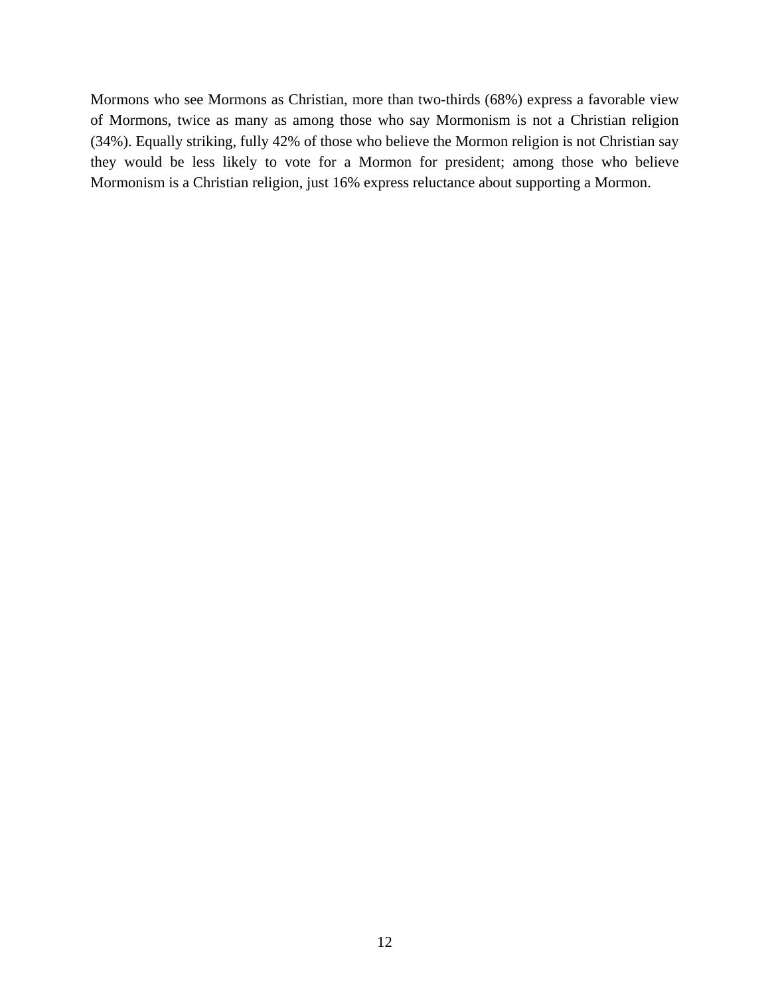Mormons who see Mormons as Christian, more than two-thirds (68%) express a favorable view of Mormons, twice as many as among those who say Mormonism is not a Christian religion (34%). Equally striking, fully 42% of those who believe the Mormon religion is not Christian say they would be less likely to vote for a Mormon for president; among those who believe Mormonism is a Christian religion, just 16% express reluctance about supporting a Mormon.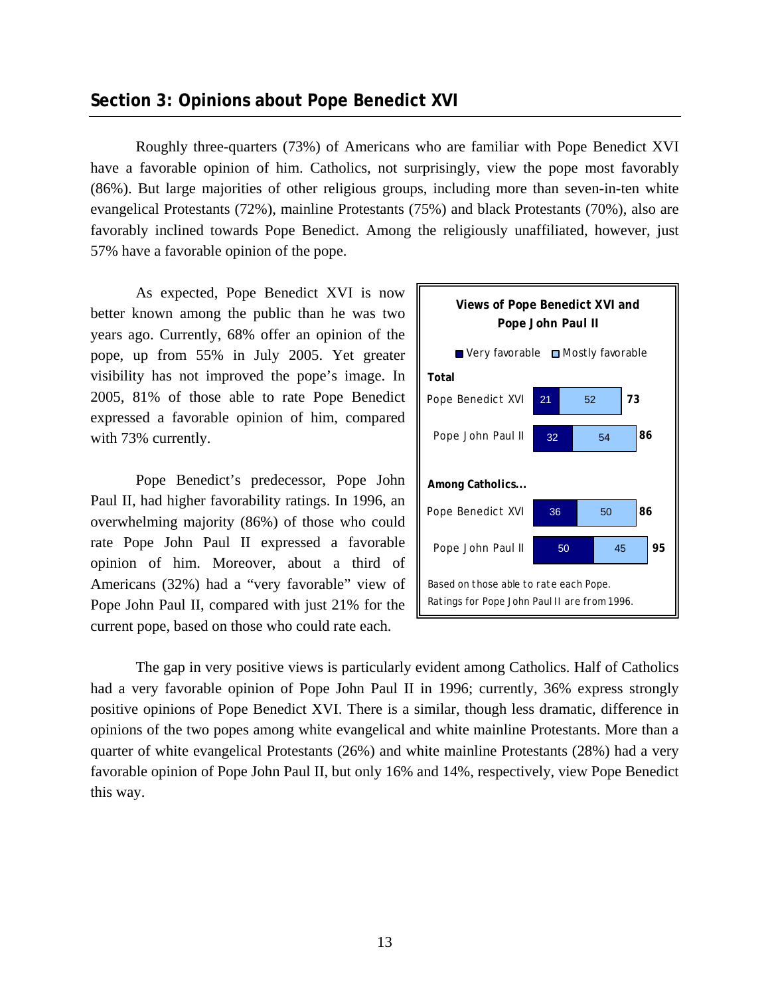# **Section 3: Opinions about Pope Benedict XVI**

 Roughly three-quarters (73%) of Americans who are familiar with Pope Benedict XVI have a favorable opinion of him. Catholics, not surprisingly, view the pope most favorably (86%). But large majorities of other religious groups, including more than seven-in-ten white evangelical Protestants (72%), mainline Protestants (75%) and black Protestants (70%), also are favorably inclined towards Pope Benedict. Among the religiously unaffiliated, however, just 57% have a favorable opinion of the pope.

As expected, Pope Benedict XVI is now better known among the public than he was two years ago. Currently, 68% offer an opinion of the pope, up from 55% in July 2005. Yet greater visibility has not improved the pope's image. In 2005, 81% of those able to rate Pope Benedict expressed a favorable opinion of him, compared with 73% currently.

 Pope Benedict's predecessor, Pope John Paul II, had higher favorability ratings. In 1996, an overwhelming majority (86%) of those who could rate Pope John Paul II expressed a favorable opinion of him. Moreover, about a third of Americans (32%) had a "very favorable" view of Pope John Paul II, compared with just 21% for the current pope, based on those who could rate each.



 The gap in very positive views is particularly evident among Catholics. Half of Catholics had a very favorable opinion of Pope John Paul II in 1996; currently, 36% express strongly positive opinions of Pope Benedict XVI. There is a similar, though less dramatic, difference in opinions of the two popes among white evangelical and white mainline Protestants. More than a quarter of white evangelical Protestants (26%) and white mainline Protestants (28%) had a very favorable opinion of Pope John Paul II, but only 16% and 14%, respectively, view Pope Benedict this way.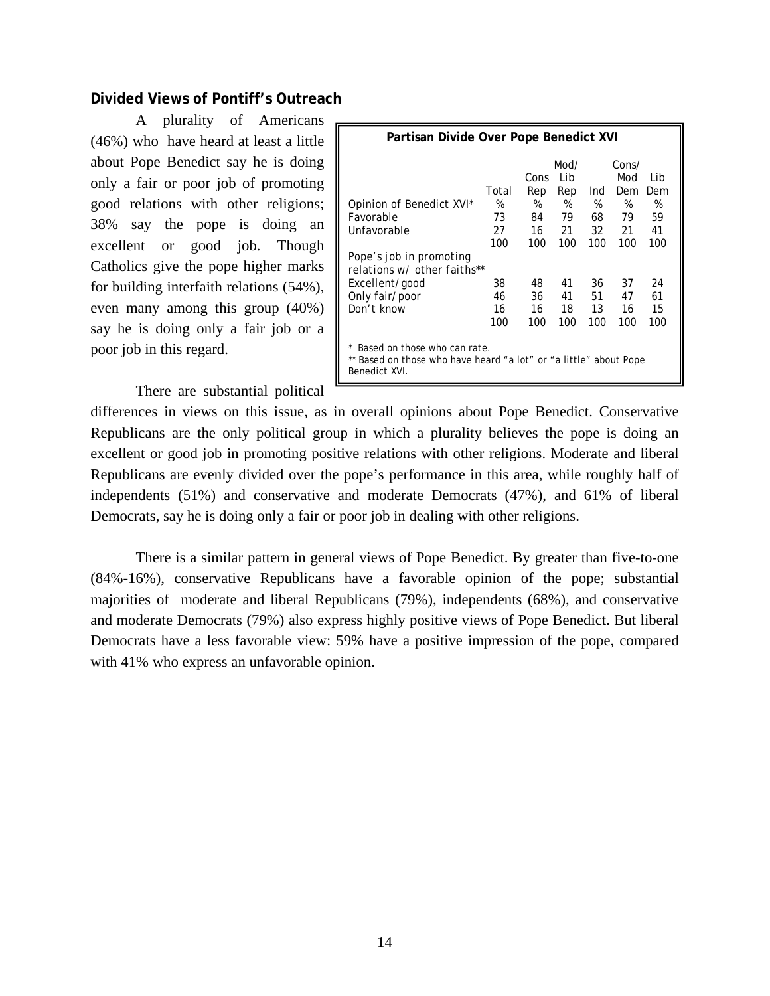# **Divided Views of Pontiff's Outreach**

 A plurality of Americans (46%) who have heard at least a little about Pope Benedict say he is doing only a fair or poor job of promoting good relations with other religions; 38% say the pope is doing an excellent or good job. Though Catholics give the pope higher marks for building interfaith relations (54%), even many among this group (40%) say he is doing only a fair job or a poor job in this regard.

| Partisan Divide Over Pope Benedict XVI                                                                                                                                                                                                                                                                                 |                        |                                     |                                      |                                         |                                      |                             |  |
|------------------------------------------------------------------------------------------------------------------------------------------------------------------------------------------------------------------------------------------------------------------------------------------------------------------------|------------------------|-------------------------------------|--------------------------------------|-----------------------------------------|--------------------------------------|-----------------------------|--|
| Opinion of Benedict XVI*<br><b>Favorable</b><br>Unfavorable                                                                                                                                                                                                                                                            | Total<br>%<br>73<br>27 | Cons<br>Rep<br>%<br>84<br><u>16</u> | Mod/<br>I ib<br>Rep<br>%<br>79<br>21 | <u>Ind</u><br>%<br>68<br>$\frac{32}{2}$ | Cons/<br>Mod<br>Dem<br>%<br>79<br>21 | Lib<br>Dem<br>%<br>59<br>41 |  |
| 100<br>100<br>100<br>100<br>100<br>100<br>Pope's job in promoting<br>relations w/ other faiths**<br>24<br>38<br>41<br>37<br>Excellent/good<br>48<br>36<br>Only fair/poor<br>61<br>41<br>51<br>46<br>36<br>47<br>Don't know<br>15<br>16<br>16<br>$\underline{18}$<br>13<br>16<br>100<br>100<br>100<br>100<br>100<br>100 |                        |                                     |                                      |                                         |                                      |                             |  |
| Based on those who can rate.<br>** Based on those who have heard "a lot" or "a little" about Pope<br>Benedict XVI.                                                                                                                                                                                                     |                        |                                     |                                      |                                         |                                      |                             |  |

There are substantial political

differences in views on this issue, as in overall opinions about Pope Benedict. Conservative Republicans are the only political group in which a plurality believes the pope is doing an excellent or good job in promoting positive relations with other religions. Moderate and liberal Republicans are evenly divided over the pope's performance in this area, while roughly half of independents (51%) and conservative and moderate Democrats (47%), and 61% of liberal Democrats, say he is doing only a fair or poor job in dealing with other religions.

 There is a similar pattern in general views of Pope Benedict. By greater than five-to-one (84%-16%), conservative Republicans have a favorable opinion of the pope; substantial majorities of moderate and liberal Republicans (79%), independents (68%), and conservative and moderate Democrats (79%) also express highly positive views of Pope Benedict. But liberal Democrats have a less favorable view: 59% have a positive impression of the pope, compared with 41% who express an unfavorable opinion.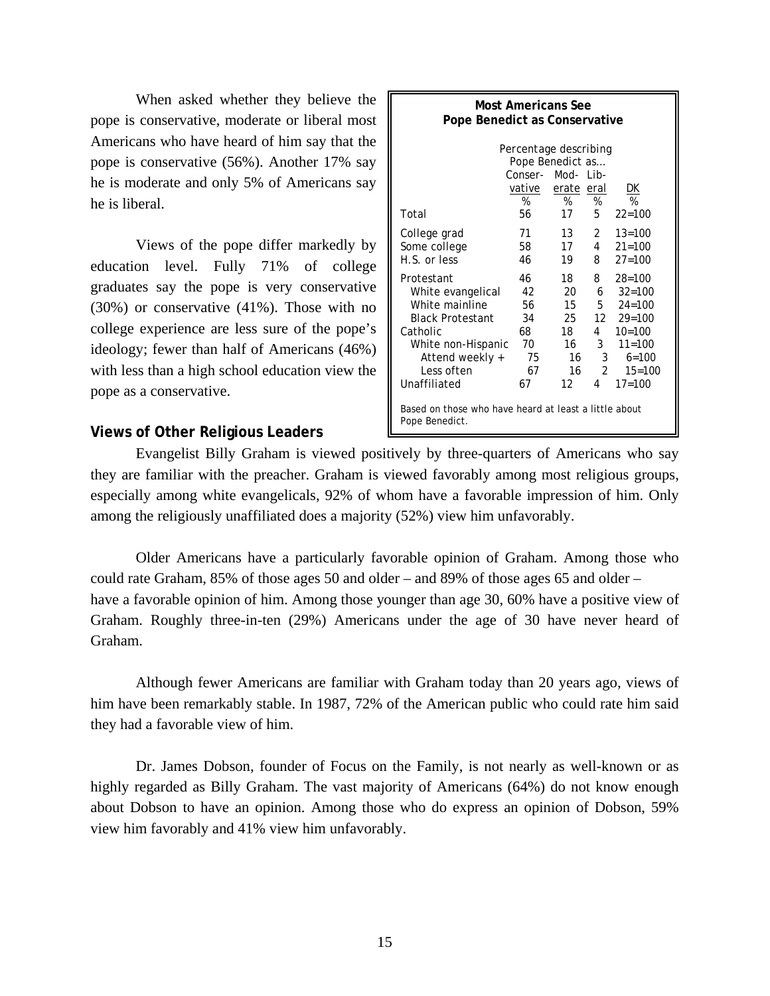When asked whether they believe the pope is conservative, moderate or liberal most Americans who have heard of him say that the pope is conservative (56%). Another 17% say he is moderate and only 5% of Americans say he is liberal.

 Views of the pope differ markedly by education level. Fully 71% of college graduates say the pope is very conservative (30%) or conservative (41%). Those with no college experience are less sure of the pope's ideology; fewer than half of Americans (46%) with less than a high school education view the pope as a conservative.

# **Views of Other Religious Leaders**

| Most Americans See<br>Pope Benedict as Conservative                                                                                                             |                                                                           |                                                      |                                                          |                                                                                                                         |  |
|-----------------------------------------------------------------------------------------------------------------------------------------------------------------|---------------------------------------------------------------------------|------------------------------------------------------|----------------------------------------------------------|-------------------------------------------------------------------------------------------------------------------------|--|
| Total                                                                                                                                                           | Percentage describing<br>Pope Benedict as<br>Conser-<br>vative<br>%<br>56 | Mod- $1$ ib-<br>erate eral<br>%<br>17                | %<br>5                                                   | <u>рк</u><br>%<br>$22 = 100$                                                                                            |  |
| College grad<br>Some college<br>H.S. or less                                                                                                                    | 71<br>58<br>46                                                            | 13<br>17<br>19                                       | $\mathbf{2}$<br>$\overline{4}$<br>8                      | $13 = 100$<br>$21 = 100$<br>$27 = 100$                                                                                  |  |
| Protestant<br>White evangelical<br>White mainline<br><b>Black Protestant</b><br>Catholic<br>White non-Hispanic<br>Attend weekly +<br>Less often<br>Unaffiliated | 46<br>42<br>56<br>34<br>68<br>70<br>75<br>67<br>67                        | 18<br>20.<br>15<br>25.<br>18<br>16<br>16<br>16<br>12 | 8<br>6.<br>5<br>12<br>4<br>3<br>3<br>$\mathfrak{D}$<br>4 | $28 = 100$<br>$32 = 100$<br>$24 = 100$<br>$29 = 100$<br>$10=100$<br>$11 = 100$<br>$6 = 100$<br>$15 = 100$<br>$17 = 100$ |  |
| Based on those who have heard at least a little about<br>Pope Benedict.                                                                                         |                                                                           |                                                      |                                                          |                                                                                                                         |  |

 Evangelist Billy Graham is viewed positively by three-quarters of Americans who say they are familiar with the preacher. Graham is viewed favorably among most religious groups, especially among white evangelicals, 92% of whom have a favorable impression of him. Only among the religiously unaffiliated does a majority (52%) view him unfavorably.

 Older Americans have a particularly favorable opinion of Graham. Among those who could rate Graham, 85% of those ages 50 and older – and 89% of those ages 65 and older – have a favorable opinion of him. Among those younger than age 30, 60% have a positive view of Graham. Roughly three-in-ten (29%) Americans under the age of 30 have never heard of Graham.

 Although fewer Americans are familiar with Graham today than 20 years ago, views of him have been remarkably stable. In 1987, 72% of the American public who could rate him said they had a favorable view of him.

 Dr. James Dobson, founder of Focus on the Family, is not nearly as well-known or as highly regarded as Billy Graham. The vast majority of Americans (64%) do not know enough about Dobson to have an opinion. Among those who do express an opinion of Dobson, 59% view him favorably and 41% view him unfavorably.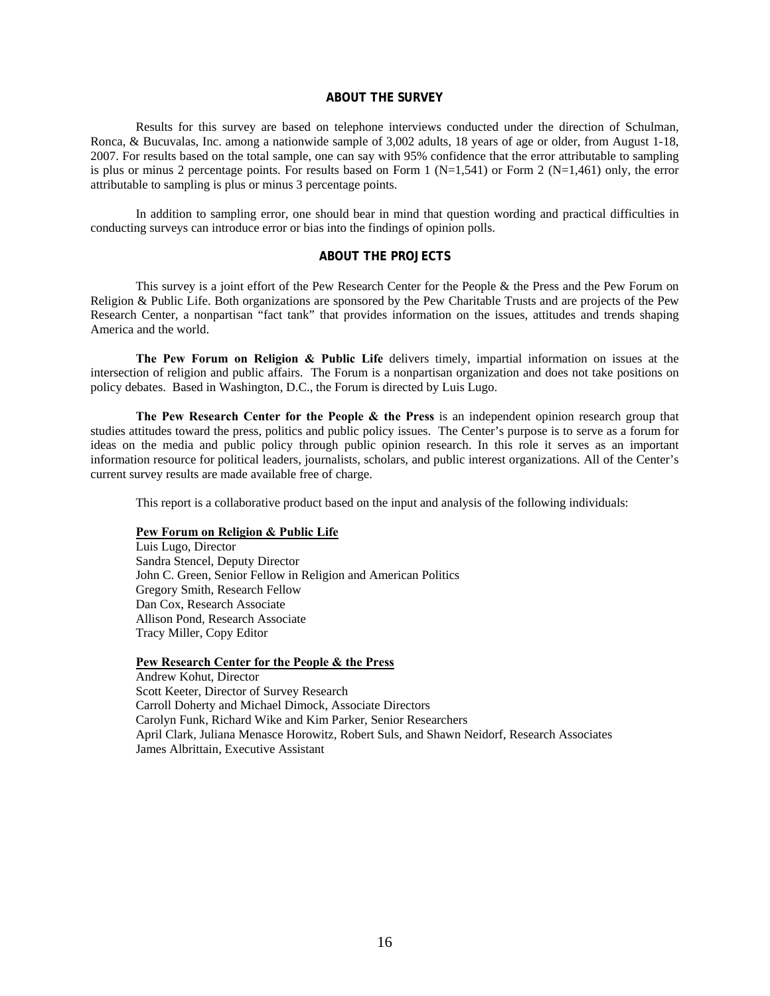# **ABOUT THE SURVEY**

 Results for this survey are based on telephone interviews conducted under the direction of Schulman, Ronca, & Bucuvalas, Inc. among a nationwide sample of 3,002 adults, 18 years of age or older, from August 1-18, 2007. For results based on the total sample, one can say with 95% confidence that the error attributable to sampling is plus or minus 2 percentage points. For results based on Form 1 ( $N=1,541$ ) or Form 2 ( $N=1,461$ ) only, the error attributable to sampling is plus or minus 3 percentage points.

 In addition to sampling error, one should bear in mind that question wording and practical difficulties in conducting surveys can introduce error or bias into the findings of opinion polls.

# **ABOUT THE PROJECTS**

This survey is a joint effort of the Pew Research Center for the People & the Press and the Pew Forum on Religion & Public Life. Both organizations are sponsored by the Pew Charitable Trusts and are projects of the Pew Research Center, a nonpartisan "fact tank" that provides information on the issues, attitudes and trends shaping America and the world.

**The Pew Forum on Religion & Public Life** delivers timely, impartial information on issues at the intersection of religion and public affairs. The Forum is a nonpartisan organization and does not take positions on policy debates. Based in Washington, D.C., the Forum is directed by Luis Lugo.

**The Pew Research Center for the People & the Press** is an independent opinion research group that studies attitudes toward the press, politics and public policy issues. The Center's purpose is to serve as a forum for ideas on the media and public policy through public opinion research. In this role it serves as an important information resource for political leaders, journalists, scholars, and public interest organizations. All of the Center's current survey results are made available free of charge.

This report is a collaborative product based on the input and analysis of the following individuals:

#### **Pew Forum on Religion & Public Life**

 Luis Lugo, Director Sandra Stencel, Deputy Director John C. Green, Senior Fellow in Religion and American Politics Gregory Smith, Research Fellow Dan Cox, Research Associate Allison Pond, Research Associate Tracy Miller, Copy Editor

#### **Pew Research Center for the People & the Press**

 Andrew Kohut, Director Scott Keeter, Director of Survey Research Carroll Doherty and Michael Dimock, Associate Directors Carolyn Funk, Richard Wike and Kim Parker, Senior Researchers April Clark, Juliana Menasce Horowitz, Robert Suls, and Shawn Neidorf, Research Associates James Albrittain, Executive Assistant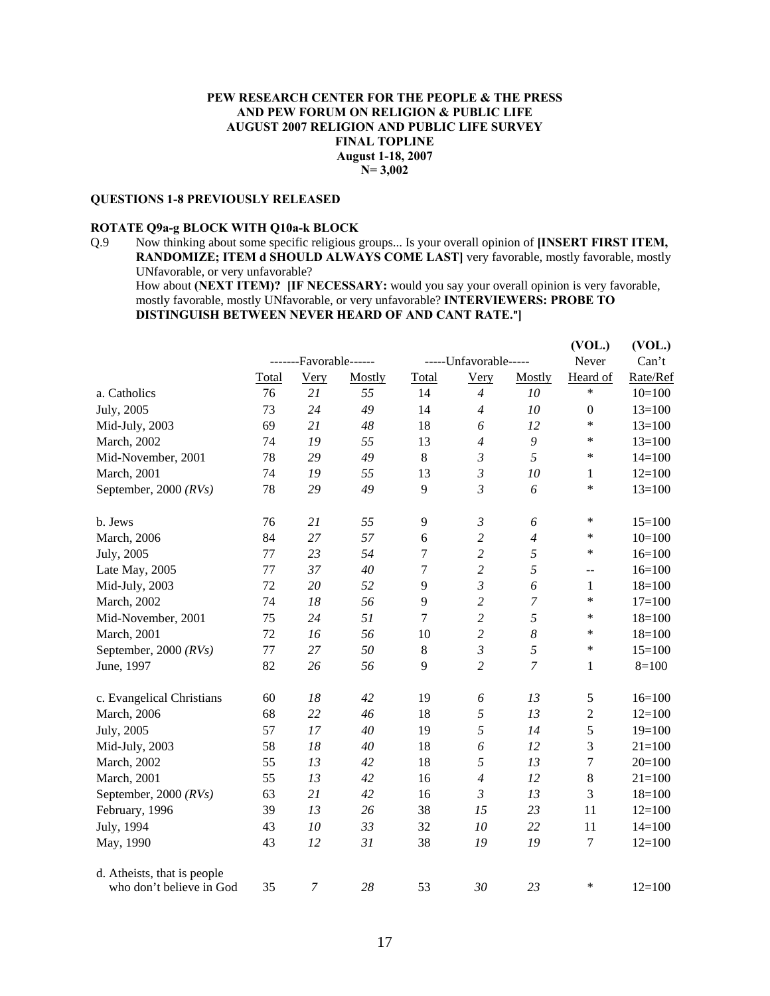#### **PEW RESEARCH CENTER FOR THE PEOPLE & THE PRESS AND PEW FORUM ON RELIGION & PUBLIC LIFE AUGUST 2007 RELIGION AND PUBLIC LIFE SURVEY FINAL TOPLINE August 1-18, 2007 N= 3,002**

#### **QUESTIONS 1-8 PREVIOUSLY RELEASED**

# **ROTATE Q9a-g BLOCK WITH Q10a-k BLOCK**

Q.9 Now thinking about some specific religious groups... Is your overall opinion of **[INSERT FIRST ITEM, RANDOMIZE; ITEM d SHOULD ALWAYS COME LAST]** very favorable, mostly favorable, mostly UNfavorable, or very unfavorable?

How about **(NEXT ITEM)? [IF NECESSARY:** would you say your overall opinion is very favorable, mostly favorable, mostly UNfavorable, or very unfavorable? **INTERVIEWERS: PROBE TO DISTINGUISH BETWEEN NEVER HEARD OF AND CANT RATE.**@**]** 

|                             |         |                        |        |         |                               |                  | (VOL.)                                        | (VOL.)     |
|-----------------------------|---------|------------------------|--------|---------|-------------------------------|------------------|-----------------------------------------------|------------|
|                             |         | -------Favorable------ |        |         | -----Unfavorable-----         |                  |                                               | Can't      |
|                             | Total   | <b>Very</b>            | Mostly | Total   | <b>Very</b>                   | Mostly           | Heard of                                      | Rate/Ref   |
| a. Catholics                | 76      | 21                     | 55     | 14      | $\overline{4}$                | 10               | *                                             | $10=100$   |
| July, 2005                  | 73      | 24                     | 49     | 14      | $\overline{4}$                | 10               | $\boldsymbol{0}$                              | $13=100$   |
| Mid-July, 2003              | 69      | 21                     | 48     | 18      | 6                             | 12               | $\ast$                                        | $13=100$   |
| March, 2002                 | 74      | 19                     | 55     | 13      | $\overline{4}$                | $\boldsymbol{9}$ | ∗                                             | $13=100$   |
| Mid-November, 2001          | 78      | 29                     | 49     | $\,8\,$ | $\mathfrak{Z}$                | 5                | $\ast$                                        | $14 = 100$ |
| March, 2001                 | 74      | 19                     | 55     | 13      | $\mathfrak{Z}$                | 10               | 1                                             | $12=100$   |
| September, 2000 $(RVs)$     | 78      | 29                     | 49     | 9       | $\mathfrak{Z}$                | 6                | *                                             | $13=100$   |
| b. Jews                     | 76      | 21                     | 55     | 9       | $\mathfrak{Z}$                | 6                | $\ast$                                        | $15=100$   |
| March, 2006                 | 84      | 27                     | 57     | 6       | $\boldsymbol{2}$              | $\overline{4}$   | ∗                                             | $10=100$   |
| July, 2005                  | $77 \,$ | 23                     | 54     | 7       | $\sqrt{2}$                    | 5                | $\ast$                                        | $16=100$   |
| Late May, 2005              | 77      | 37                     | 40     | 7       | $\overline{c}$                | 5                | $\mathord{\hspace{1pt}\text{--}\hspace{1pt}}$ | $16=100$   |
| Mid-July, 2003              | 72      | 20                     | 52     | 9       | $\mathfrak{Z}$                | 6                | 1                                             | $18=100$   |
| March, 2002                 | 74      | 18                     | 56     | 9       | $\overline{c}$                | 7                | $\ast$                                        | $17=100$   |
| Mid-November, 2001          | 75      | 24                     | 51     | 7       | $\overline{c}$                | 5                | *                                             | $18=100$   |
| March, 2001                 | 72      | 16                     | 56     | 10      | $\overline{c}$                | $\boldsymbol{8}$ | ∗                                             | $18=100$   |
| September, 2000 $(RVs)$     | 77      | 27                     | 50     | $\,8$   | $\mathfrak{Z}$                | 5                | *                                             | $15=100$   |
| June, 1997                  | 82      | 26                     | 56     | 9       | $\overline{c}$                | 7                | 1                                             | $8=100$    |
| c. Evangelical Christians   | 60      | 18                     | 42     | 19      | 6                             | 13               | 5                                             | $16=100$   |
| March, 2006                 | 68      | 22                     | 46     | 18      | 5                             | 13               | $\overline{2}$                                | $12=100$   |
| July, 2005                  | 57      | 17                     | 40     | 19      | 5                             | 14               | 5                                             | $19=100$   |
| Mid-July, 2003              | 58      | 18                     | 40     | 18      | 6                             | 12               | 3                                             | $21 = 100$ |
| March, 2002                 | 55      | 13                     | 42     | 18      | $\sqrt{2}$                    | 13               | 7                                             | $20=100$   |
| March, 2001                 | 55      | 13                     | 42     | 16      | $\ensuremath{\mathnormal{4}}$ | 12               | $\,8\,$                                       | $21 = 100$ |
| September, 2000 (RVs)       | 63      | 21                     | 42     | 16      | $\mathfrak{Z}$                | 13               | 3                                             | $18=100$   |
| February, 1996              | 39      | 13                     | 26     | 38      | 15                            | 23               | 11                                            | $12=100$   |
| July, 1994                  | 43      | 10                     | 33     | 32      | 10                            | 22               | 11                                            | $14=100$   |
| May, 1990                   | 43      | 12                     | 31     | 38      | 19                            | 19               | $\tau$                                        | $12=100$   |
| d. Atheists, that is people |         |                        |        |         |                               |                  |                                               |            |
| who don't believe in God    | 35      | $\boldsymbol{7}$       | 28     | 53      | 30                            | 23               | $\ast$                                        | $12=100$   |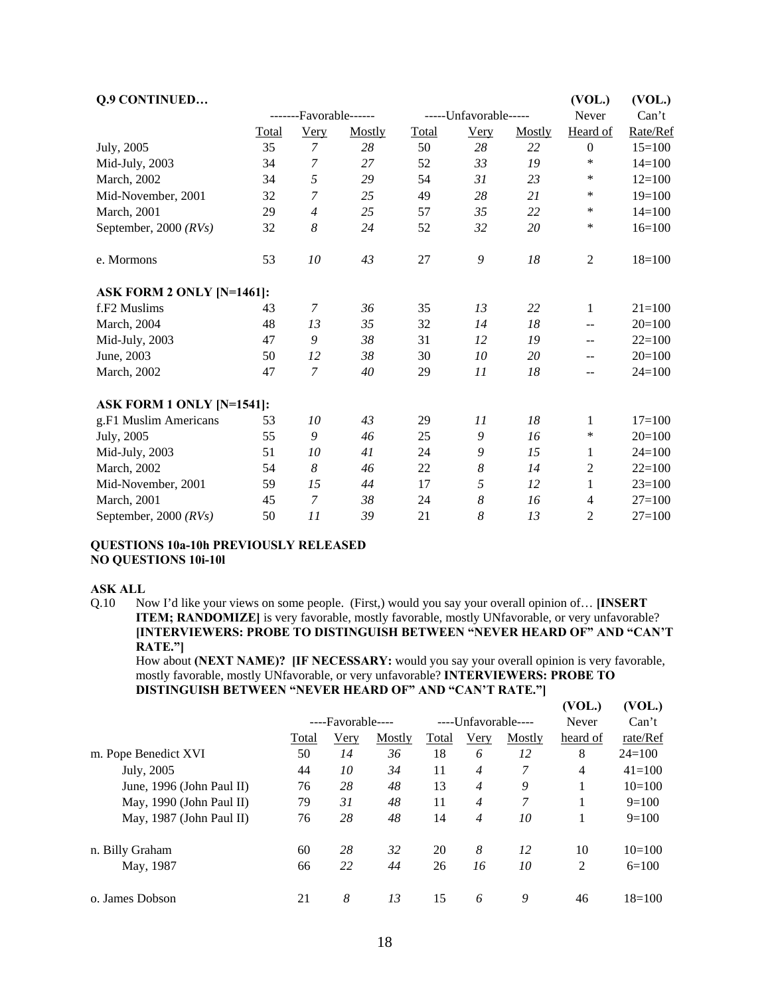| Q.9 CONTINUED             |       |                        |        |       |                       |        | (VOL.)           | (VOL.)     |
|---------------------------|-------|------------------------|--------|-------|-----------------------|--------|------------------|------------|
|                           |       | -------Favorable------ |        |       | -----Unfavorable----- |        | Never            | Can't      |
|                           | Total | <b>Very</b>            | Mostly | Total | <b>Very</b>           | Mostly | Heard of         | Rate/Ref   |
| July, 2005                | 35    | $\overline{7}$         | 28     | 50    | 28                    | 22     | $\boldsymbol{0}$ | $15=100$   |
| Mid-July, 2003            | 34    | $\overline{7}$         | 27     | 52    | 33                    | 19     | ∗                | $14=100$   |
| March, 2002               | 34    | 5                      | 29     | 54    | 31                    | 23     | *                | $12=100$   |
| Mid-November, 2001        | 32    | $\overline{7}$         | 25     | 49    | 28                    | 21     | *                | $19=100$   |
| March, 2001               | 29    | $\overline{4}$         | 25     | 57    | 35                    | 22     | $\ast$           | $14=100$   |
| September, 2000 $(RVs)$   | 32    | $\boldsymbol{8}$       | 24     | 52    | 32                    | 20     | $\ast$           | $16=100$   |
| e. Mormons                | 53    | 10                     | 43     | 27    | 9                     | 18     | $\mathfrak{2}$   | $18=100$   |
| ASK FORM 2 ONLY [N=1461]: |       |                        |        |       |                       |        |                  |            |
| f.F <sub>2</sub> Muslims  | 43    | 7                      | 36     | 35    | 13                    | 22     | $\mathbf{1}$     | $21 = 100$ |
| March, 2004               | 48    | 13                     | 35     | 32    | 14                    | 18     | $- -$            | $20=100$   |
| Mid-July, 2003            | 47    | 9                      | 38     | 31    | 12                    | 19     | $-$              | $22=100$   |
| June, 2003                | 50    | 12                     | 38     | 30    | 10                    | 20     | $-$              | $20=100$   |
| March, 2002               | 47    | $\overline{7}$         | 40     | 29    | 11                    | 18     | $-$              | $24=100$   |
| ASK FORM 1 ONLY [N=1541]: |       |                        |        |       |                       |        |                  |            |
| g.F1 Muslim Americans     | 53    | 10                     | 43     | 29    | 11                    | 18     | 1                | $17=100$   |
| July, 2005                | 55    | 9                      | 46     | 25    | 9                     | 16     | ∗                | $20=100$   |
| Mid-July, 2003            | 51    | 10                     | 41     | 24    | 9                     | 15     | 1                | $24=100$   |
| March, 2002               | 54    | 8                      | 46     | 22    | 8                     | 14     | $\overline{2}$   | $22=100$   |
| Mid-November, 2001        | 59    | 15                     | 44     | 17    | 5                     | 12     | 1                | $23=100$   |
| <b>March</b> , 2001       | 45    | $\overline{7}$         | 38     | 24    | 8                     | 16     | $\overline{4}$   | $27=100$   |
| September, 2000 $(RVs)$   | 50    | 11                     | 39     | 21    | 8                     | 13     | $\overline{2}$   | $27=100$   |

#### **QUESTIONS 10a-10h PREVIOUSLY RELEASED NO QUESTIONS 10i-10l**

#### **ASK ALL**

Q.10 Now I'd like your views on some people. (First,) would you say your overall opinion of… **[INSERT ITEM; RANDOMIZE**] is very favorable, mostly favorable, mostly UNfavorable, or very unfavorable? **[INTERVIEWERS: PROBE TO DISTINGUISH BETWEEN "NEVER HEARD OF" AND "CAN'T RATE."]** 

How about **(NEXT NAME)? [IF NECESSARY:** would you say your overall opinion is very favorable, mostly favorable, mostly UNfavorable, or very unfavorable? **INTERVIEWERS: PROBE TO DISTINGUISH BETWEEN "NEVER HEARD OF" AND "CAN'T RATE."]**

|                           |       |                   |        |       |                     |        | (VOL.)         | (VOL.)     |
|---------------------------|-------|-------------------|--------|-------|---------------------|--------|----------------|------------|
|                           |       | ----Favorable---- |        |       | ----Unfavorable---- |        |                | Can't      |
|                           | Total | <u>Very</u>       | Mostly | Total | <u>Very</u>         | Mostly | heard of       | rate/Ref   |
| m. Pope Benedict XVI      | 50    | 14                | 36     | 18    | 6                   | 12     | 8              | $24=100$   |
| July, 2005                | 44    | 10                | 34     | 11    | $\overline{4}$      | 7      | $\overline{4}$ | $41 = 100$ |
| June, 1996 (John Paul II) | 76    | 28                | 48     | 13    | $\overline{4}$      | 9      |                | $10=100$   |
| May, 1990 (John Paul II)  | 79    | 31                | 48     | 11    | $\overline{4}$      | 7      |                | $9=100$    |
| May, 1987 (John Paul II)  | 76    | 28                | 48     | 14    | $\overline{4}$      | 10     |                | $9=100$    |
| n. Billy Graham           | 60    | 28                | 32     | 20    | 8                   | 12     | 10             | $10=100$   |
| May, 1987                 | 66    | 22                | 44     | 26    | 16                  | 10     | 2              | $6=100$    |
| o. James Dobson           | 21    | 8                 | 13     | 15    | 6                   | 9      | 46             | $18=100$   |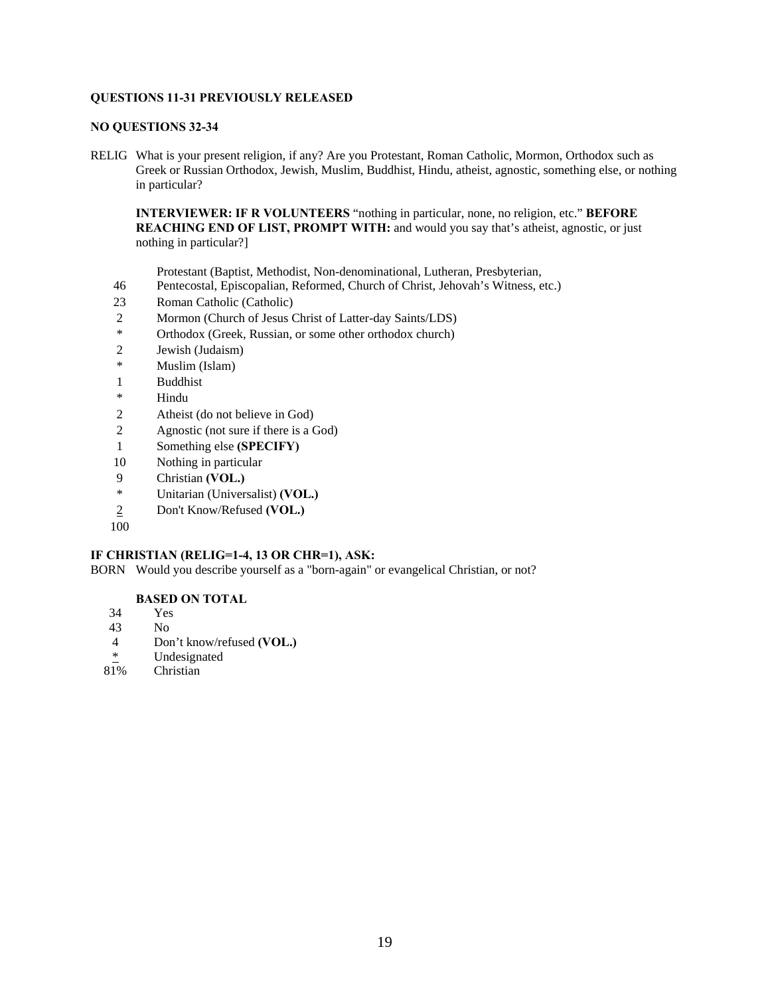# **QUESTIONS 11-31 PREVIOUSLY RELEASED**

#### **NO QUESTIONS 32-34**

RELIG What is your present religion, if any? Are you Protestant, Roman Catholic, Mormon, Orthodox such as Greek or Russian Orthodox, Jewish, Muslim, Buddhist, Hindu, atheist, agnostic, something else, or nothing in particular?

**INTERVIEWER: IF R VOLUNTEERS** "nothing in particular, none, no religion, etc." **BEFORE REACHING END OF LIST, PROMPT WITH:** and would you say that's atheist, agnostic, or just nothing in particular?]

Protestant (Baptist, Methodist, Non-denominational, Lutheran, Presbyterian,

- 46 Pentecostal, Episcopalian, Reformed, Church of Christ, Jehovah's Witness, etc.)
- 23 Roman Catholic (Catholic)
- 2 Mormon (Church of Jesus Christ of Latter-day Saints/LDS)
- \* Orthodox (Greek, Russian, or some other orthodox church)
- 2 Jewish (Judaism)
- \* Muslim (Islam)
- 1 Buddhist
- \* Hindu
- 2 Atheist (do not believe in God)
- 2 Agnostic (not sure if there is a God)
- 1 Something else **(SPECIFY)**
- 10 Nothing in particular
- 9 Christian **(VOL.)**
- \* Unitarian (Universalist) **(VOL.)**
- 2 Don't Know/Refused **(VOL.)**
- 100

# **IF CHRISTIAN (RELIG=1-4, 13 OR CHR=1), ASK:**

BORN Would you describe yourself as a "born-again" or evangelical Christian, or not?

# **BASED ON TOTAL**

- 34 Yes
- 43 No
- 4 Don't know/refused **(VOL.)**
- $\frac{*}{81\%}$  Undesignated
- **Christian**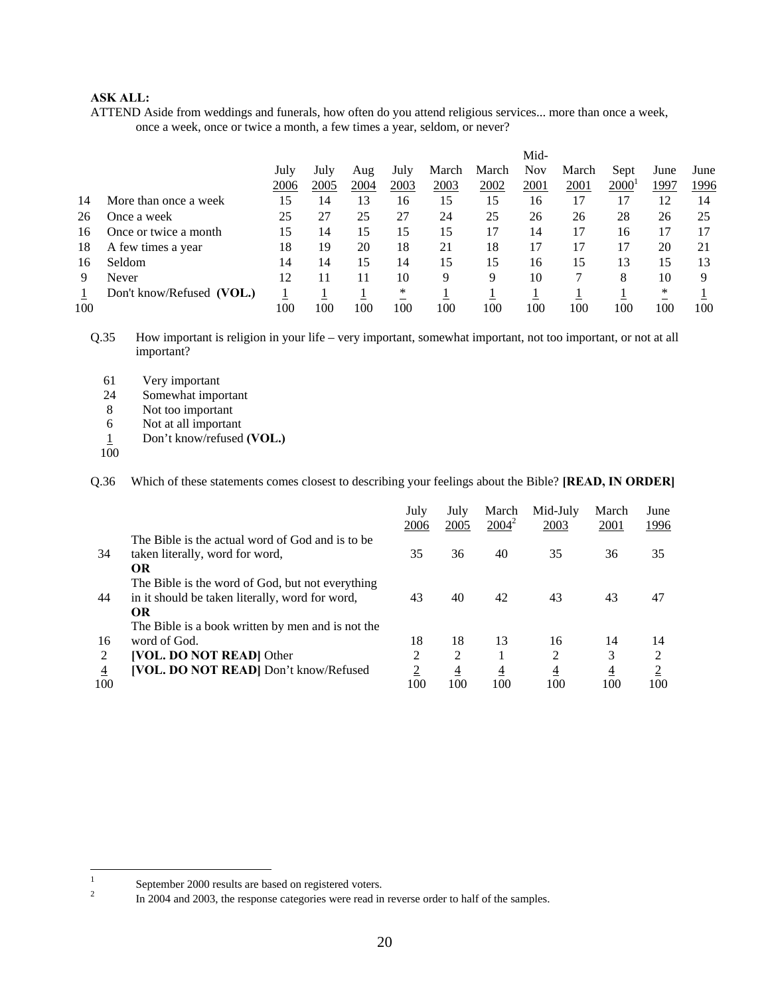# **ASK ALL:**

ATTEND Aside from weddings and funerals, how often do you attend religious services... more than once a week, once a week, once or twice a month, a few times a year, seldom, or never?

|     |                           |      |      |      |      |       |       | Mid-       |       |                   |      |      |
|-----|---------------------------|------|------|------|------|-------|-------|------------|-------|-------------------|------|------|
|     |                           | July | July | Aug  | July | March | March | <b>Nov</b> | March | Sept              | June | June |
|     |                           | 2006 | 2005 | 2004 | 2003 | 2003  | 2002  | 2001       | 2001  | 2000 <sup>1</sup> | 1997 | 1996 |
| 14  | More than once a week     | 15   | 14   | 13   | 16   | 15    | 15    | 16         | 17    | 17                | 12   | 14   |
| 26  | Once a week               | 25   | 27   | 25   | 27   | 24    | 25    | 26         | 26    | 28                | 26   | 25   |
| 16  | Once or twice a month     | 15   | 14   | 15   | 15   | 15    | 17    | 14         | 17    | 16                | 17   |      |
| 18  | A few times a year        | 18   | 19   | 20   | 18   | 21    | 18    | 17         | 17    |                   | 20   | 21   |
| 16  | Seldom                    | 14   | 14   | 15   | 14   | 15    | 15    | 16         | 15    | 13                | 15   | 13   |
| 9   | Never                     | 12   |      | 11   | 10   | 9     | 9     | 10         |       | 8                 | 10   | Q    |
|     | Don't know/Refused (VOL.) |      |      |      | *    |       |       |            |       |                   | *    |      |
| 100 |                           | 100  | 100  | 100  | 100  | 100   | 100   | 100        | 100   | 100               | 100  | 100  |

Q.35 How important is religion in your life – very important, somewhat important, not too important, or not at all important?

- 61 Very important
- 24 Somewhat important
- 8 Not too important
- 6 Not at all important
- 1 Don't know/refused **(VOL.)**
- 100

Q.36 Which of these statements comes closest to describing your feelings about the Bible? **[READ, IN ORDER]**

|     |                                                   | July<br>2006   | July<br>2005   | March<br>$2004^2$ | Mid-July<br>2003 | March<br>2001  | June<br><u> 1996</u> |
|-----|---------------------------------------------------|----------------|----------------|-------------------|------------------|----------------|----------------------|
|     | The Bible is the actual word of God and is to be  |                |                |                   |                  |                |                      |
| 34  | taken literally, word for word,                   | 35             | 36             | 40                | 35               | 36             | 35                   |
|     | <b>OR</b>                                         |                |                |                   |                  |                |                      |
|     | The Bible is the word of God, but not everything  |                |                |                   |                  |                |                      |
| 44  | in it should be taken literally, word for word,   | 43             | 40             | 42                | 43               | 43             | 47                   |
|     | <b>OR</b>                                         |                |                |                   |                  |                |                      |
|     | The Bible is a book written by men and is not the |                |                |                   |                  |                |                      |
| 16  | word of God.                                      | 18             | 18             | 13                | 16               | 14             | 14                   |
| 2   | [VOL. DO NOT READ] Other                          | 2              | 2              |                   | 2                | 3              | $\overline{2}$       |
| 4   | [VOL. DO NOT READ] Don't know/Refused             | $\overline{2}$ | $\overline{4}$ | $\overline{4}$    | $\overline{4}$   | $\overline{4}$ | $\overline{2}$       |
| 100 |                                                   | 100            | 100            | 100               | 100              | 100            | 100                  |

 $\frac{1}{1}$ September 2000 results are based on registered voters.

In 2004 and 2003, the response categories were read in reverse order to half of the samples.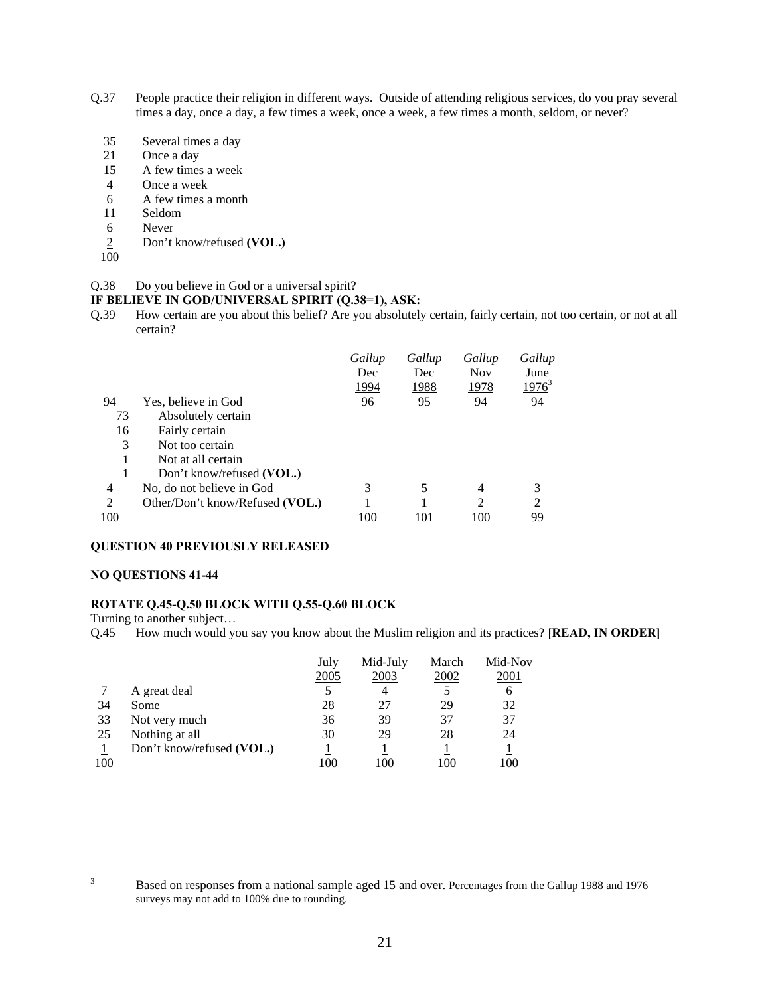- Q.37 People practice their religion in different ways. Outside of attending religious services, do you pray several times a day, once a day, a few times a week, once a week, a few times a month, seldom, or never?
	- 35 Several times a day
	- 21 Once a day
	- 15 A few times a week
	- 4 Once a week
	- 6 A few times a month
	- 11 Seldom
	- 6 Never
	- 2 Don't know/refused **(VOL.)**
	- 100

#### Q.38 Do you believe in God or a universal spirit?

#### **IF BELIEVE IN GOD/UNIVERSAL SPIRIT (Q.38=1), ASK:**

Q.39 How certain are you about this belief? Are you absolutely certain, fairly certain, not too certain, or not at all certain?

|                |                                 | Gallup       | Gallup | Gallup         | Gallup         |
|----------------|---------------------------------|--------------|--------|----------------|----------------|
|                |                                 | Dec          | Dec    | <b>Nov</b>     | June           |
|                |                                 | <u> 1994</u> | 1988   | 1978           | $1976^3$       |
| 94             | Yes, believe in God             | 96           | 95     | 94             | 94             |
| 73             | Absolutely certain              |              |        |                |                |
| 16             | Fairly certain                  |              |        |                |                |
| 3              | Not too certain                 |              |        |                |                |
|                | Not at all certain              |              |        |                |                |
|                | Don't know/refused (VOL.)       |              |        |                |                |
| 4              | No, do not believe in God       | 3            |        | $\overline{4}$ | 3              |
| $\overline{2}$ | Other/Don't know/Refused (VOL.) |              |        | $\overline{c}$ | $\overline{2}$ |
| 100            |                                 | 100          | 101    | 100            | 99             |

#### **QUESTION 40 PREVIOUSLY RELEASED**

#### **NO QUESTIONS 41-44**

# **ROTATE Q.45-Q.50 BLOCK WITH Q.55-Q.60 BLOCK**

Turning to another subject…

Q.45 How much would you say you know about the Muslim religion and its practices? **[READ, IN ORDER]**

|     |                           | July<br>2005 | Mid-July<br>2003 | March<br>2002 | Mid-Nov<br>2001 |
|-----|---------------------------|--------------|------------------|---------------|-----------------|
|     | A great deal              |              |                  |               | 6               |
| 34  | Some                      | 28           | 27               | 29            | 32              |
| 33  | Not very much             | 36           | 39               | 37            | 37              |
| 25  | Nothing at all            | 30           | 29               | 28            | 24              |
|     | Don't know/refused (VOL.) |              |                  |               |                 |
| 100 |                           | 100          | 100              | 100           | 100             |

<sup>2</sup><br>3

Based on responses from a national sample aged 15 and over. Percentages from the Gallup 1988 and 1976 surveys may not add to 100% due to rounding.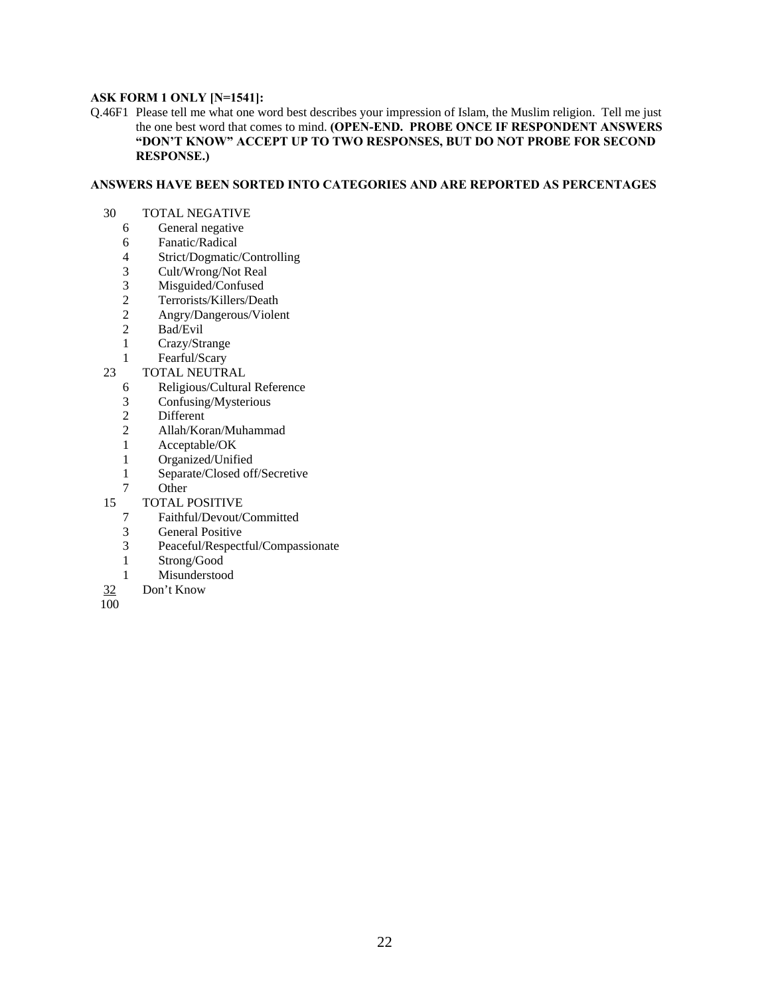# **ASK FORM 1 ONLY [N=1541]:**

Q.46F1 Please tell me what one word best describes your impression of Islam, the Muslim religion. Tell me just the one best word that comes to mind. **(OPEN-END. PROBE ONCE IF RESPONDENT ANSWERS "DON'T KNOW" ACCEPT UP TO TWO RESPONSES, BUT DO NOT PROBE FOR SECOND RESPONSE.)** 

#### **ANSWERS HAVE BEEN SORTED INTO CATEGORIES AND ARE REPORTED AS PERCENTAGES**

- 30 TOTAL NEGATIVE
	- 6 General negative
	- 6 Fanatic/Radical<br>4 Strict/Dogmatic/
	- 4 Strict/Dogmatic/Controlling<br>3 Cult/Wrong/Not Real
	- Cult/Wrong/Not Real
	- 3 Misguided/Confused<br>2 Terrorists/Killers/Dea
	- 2 Terrorists/Killers/Death<br>2 Angry/Dangerous/Violer
	- 2 Angry/Dangerous/Violent
	- 2 Bad/Evil
	- 1 Crazy/Strange
	- 1 Fearful/Scary
- 23 TOTAL NEUTRAL
	- 6 Religious/Cultural Reference
	- 3 Confusing/Mysterious
	- 2 Different<br>2 Allah/Kor
	- 2 Allah/Koran/Muhammad
	- 1 Acceptable/OK
	- 1 Organized/Unified
	- 1 Separate/Closed off/Secretive
	- 7 Other
- 15 TOTAL POSITIVE<br>7 Faithful/Devout/C
	- 7 Faithful/Devout/Committed
	- 3 General Positive
	- 3 Peaceful/Respectful/Compassionate
	- 1 Strong/Good
	- 1 Misunderstood
- 32 Don't Know
- $\overline{100}$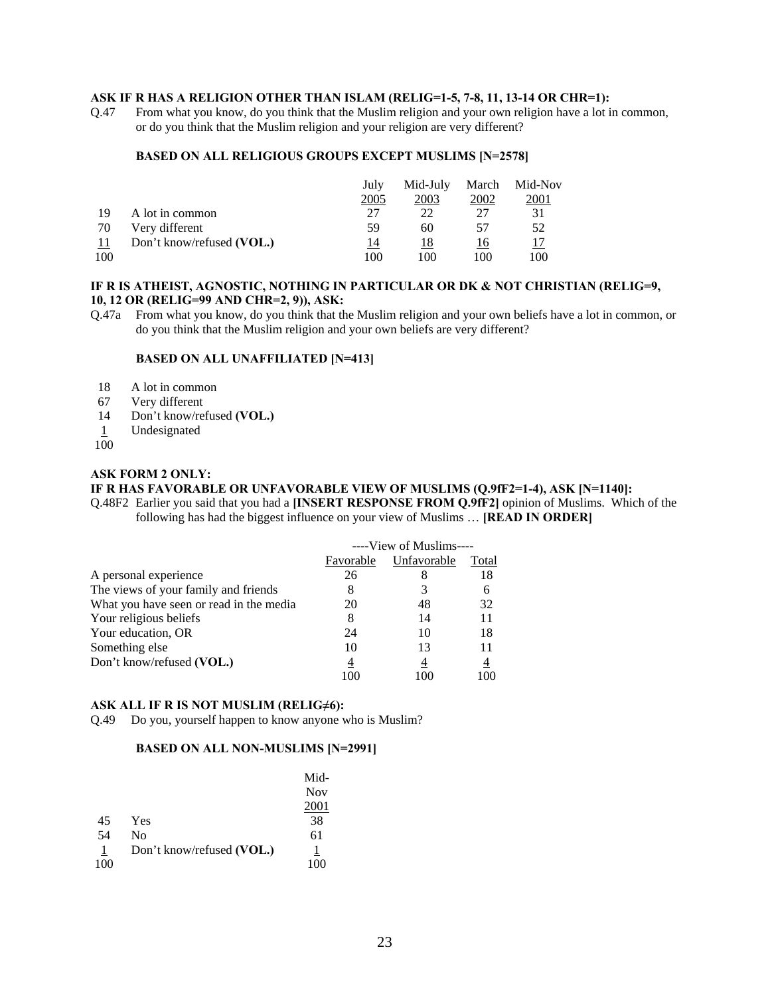#### **ASK IF R HAS A RELIGION OTHER THAN ISLAM (RELIG=1-5, 7-8, 11, 13-14 OR CHR=1):**

Q.47 From what you know, do you think that the Muslim religion and your own religion have a lot in common, or do you think that the Muslim religion and your religion are very different?

#### **BASED ON ALL RELIGIOUS GROUPS EXCEPT MUSLIMS [N=2578]**

|     |                           | July | Mid-July | March | Mid-Nov |
|-----|---------------------------|------|----------|-------|---------|
|     |                           | 2005 | 2003     | 2002  | 2001    |
| 19  | A lot in common           | 27   | 22       |       | 31      |
| 70  | Very different            | 59   | 60       | 57    | 52      |
| -11 | Don't know/refused (VOL.) | 14   | 18       | 16    |         |
| 100 |                           | 100  | 100      | 100   | 100     |

# **IF R IS ATHEIST, AGNOSTIC, NOTHING IN PARTICULAR OR DK & NOT CHRISTIAN (RELIG=9, 10, 12 OR (RELIG=99 AND CHR=2, 9)), ASK:**

Q.47a From what you know, do you think that the Muslim religion and your own beliefs have a lot in common, or do you think that the Muslim religion and your own beliefs are very different?

#### **BASED ON ALL UNAFFILIATED [N=413]**

- 18 A lot in common
- 67 Very different
- 14 Don't know/refused **(VOL.)**
- 1 Undesignated
- $100$

#### **ASK FORM 2 ONLY:**

# **IF R HAS FAVORABLE OR UNFAVORABLE VIEW OF MUSLIMS (Q.9fF2=1-4), ASK [N=1140]:**

Q.48F2 Earlier you said that you had a **[INSERT RESPONSE FROM Q.9fF2]** opinion of Muslims. Which of the following has had the biggest influence on your view of Muslims … **[READ IN ORDER]** 

|                                         | ----View of Muslims---- |             |       |
|-----------------------------------------|-------------------------|-------------|-------|
|                                         | Favorable               | Unfavorable | Total |
| A personal experience                   | 26                      |             | 18    |
| The views of your family and friends    |                         |             | 6     |
| What you have seen or read in the media | 20                      | 48          | 32    |
| Your religious beliefs                  | 8                       | 14          | 11    |
| Your education, OR                      | 24                      | 10          | 18    |
| Something else                          | 10                      | 13          | 11    |
| Don't know/refused (VOL.)               | 4                       | 4           | 4     |
|                                         | 100                     |             | 100   |

# **ASK ALL IF R IS NOT MUSLIM (RELIG≠6):**

Q.49 Do you, yourself happen to know anyone who is Muslim?

# **BASED ON ALL NON-MUSLIMS [N=2991]**

|                |                           | Mid-       |
|----------------|---------------------------|------------|
|                |                           | <b>Nov</b> |
|                |                           | 2001       |
| 45             | Yes                       | 38         |
| 54             | N <sub>0</sub>            | 61         |
| $\overline{1}$ | Don't know/refused (VOL.) | 1          |
| 100            |                           | 100        |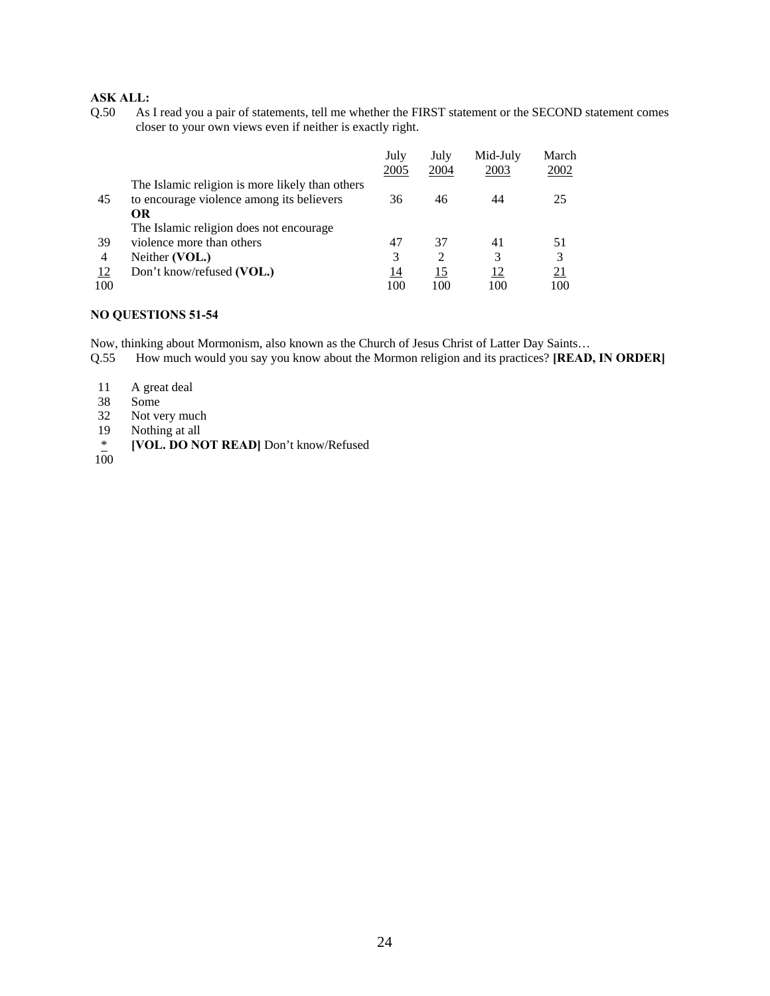# **ASK ALL:**

Q.50 As I read you a pair of statements, tell me whether the FIRST statement or the SECOND statement comes closer to your own views even if neither is exactly right.

|     |                                                 | July<br>2005 | July<br>2004                | Mid-July<br>2003 | March<br>2002 |
|-----|-------------------------------------------------|--------------|-----------------------------|------------------|---------------|
|     | The Islamic religion is more likely than others |              |                             |                  |               |
| 45  | to encourage violence among its believers       | 36           | 46                          | 44               | 25            |
|     | OR                                              |              |                             |                  |               |
|     | The Islamic religion does not encourage.        |              |                             |                  |               |
| 39  | violence more than others                       | 47           | 37                          | 41               | 51            |
| 4   | Neither (VOL.)                                  | 3            | $\mathcal{D}_{\mathcal{L}}$ | 3                | 3             |
| 12  | Don't know/refused (VOL.)                       | 14           | 15                          | 12               | <u>21</u>     |
| 100 |                                                 | 100          | 100                         | 100              | 100           |

# **NO QUESTIONS 51-54**

Now, thinking about Mormonism, also known as the Church of Jesus Christ of Latter Day Saints…

- Q.55 How much would you say you know about the Mormon religion and its practices? **[READ, IN ORDER]**
- 11 A great deal<br>38 Some
- Some
- 32 Not very much<br>19 Nothing at all
- Nothing at all
- \* **[VOL. DO NOT READ]** Don't know/Refused
- $\frac{*}{100}$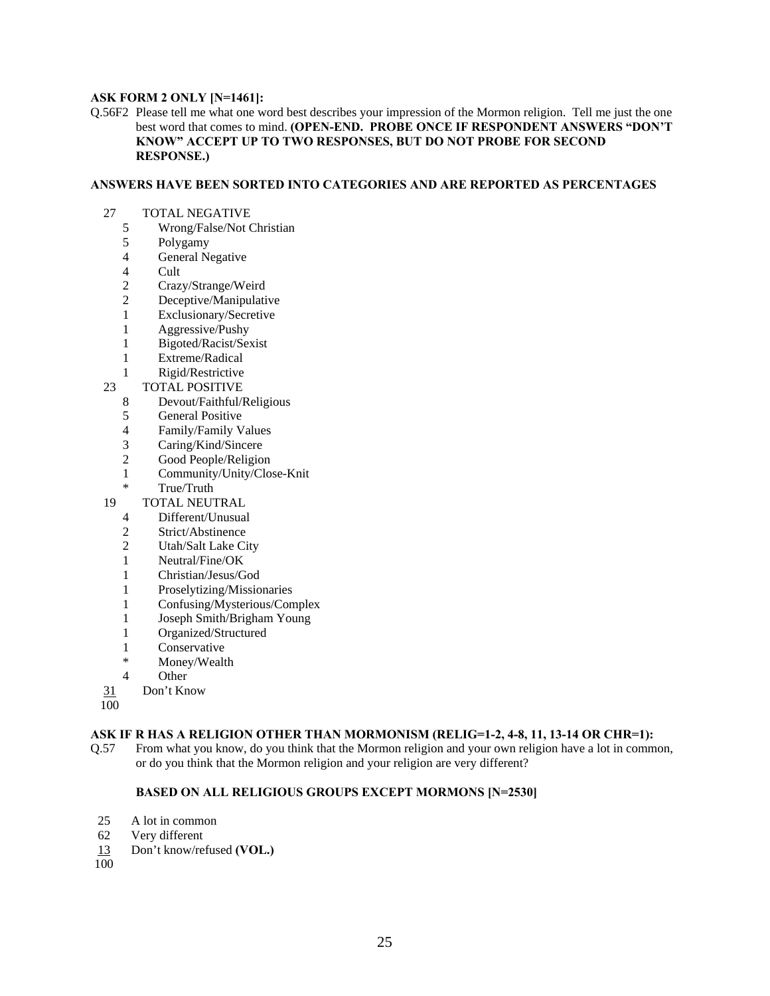#### **ASK FORM 2 ONLY [N=1461]:**

Q.56F2 Please tell me what one word best describes your impression of the Mormon religion. Tell me just the one best word that comes to mind. **(OPEN-END. PROBE ONCE IF RESPONDENT ANSWERS "DON'T KNOW" ACCEPT UP TO TWO RESPONSES, BUT DO NOT PROBE FOR SECOND RESPONSE.)** 

#### **ANSWERS HAVE BEEN SORTED INTO CATEGORIES AND ARE REPORTED AS PERCENTAGES**

- 27 TOTAL NEGATIVE<br>5 Wrong/False/Not O
	- 5 Wrong/False/Not Christian
	- 5 Polygamy
	- 4 General Negative<br>4 Cult
	- **Cult**
	- 2 Crazy/Strange/Weird<br>2 Decentive/Manipulati
	- Deceptive/Manipulative
	- 1 Exclusionary/Secretive
	- 1 Aggressive/Pushy
	- 1 Bigoted/Racist/Sexist
	- 1 Extreme/Radical
	- 1 Rigid/Restrictive
- 23 TOTAL POSITIVE
	- 8 Devout/Faithful/Religious
	- 5 General Positive
	-
	- 4 Family/Family Values<br>3 Caring/Kind/Sincere Caring/Kind/Sincere
	- 2 Good People/Religion
	- 1 Community/Unity/Close-Knit
	- True/Truth
- 19 TOTAL NEUTRAL
	- 4 Different/Unusual
	- 2 Strict/Abstinence
	- 2 Utah/Salt Lake City
	- 1 Neutral/Fine/OK
	- 1 Christian/Jesus/God
	- 1 Proselytizing/Missionaries
	- 1 Confusing/Mysterious/Complex
	- 1 Joseph Smith/Brigham Young
	- 1 Organized/Structured
	- 1 Conservative
	- \* Money/Wealth
	- 4 Other
- 31 Don't Know
- 100

#### **ASK IF R HAS A RELIGION OTHER THAN MORMONISM (RELIG=1-2, 4-8, 11, 13-14 OR CHR=1):**

Q.57 From what you know, do you think that the Mormon religion and your own religion have a lot in common, or do you think that the Mormon religion and your religion are very different?

#### **BASED ON ALL RELIGIOUS GROUPS EXCEPT MORMONS [N=2530]**

- 25 A lot in common
- 62 Very different
- 13 Don't know/refused **(VOL.)**
- 100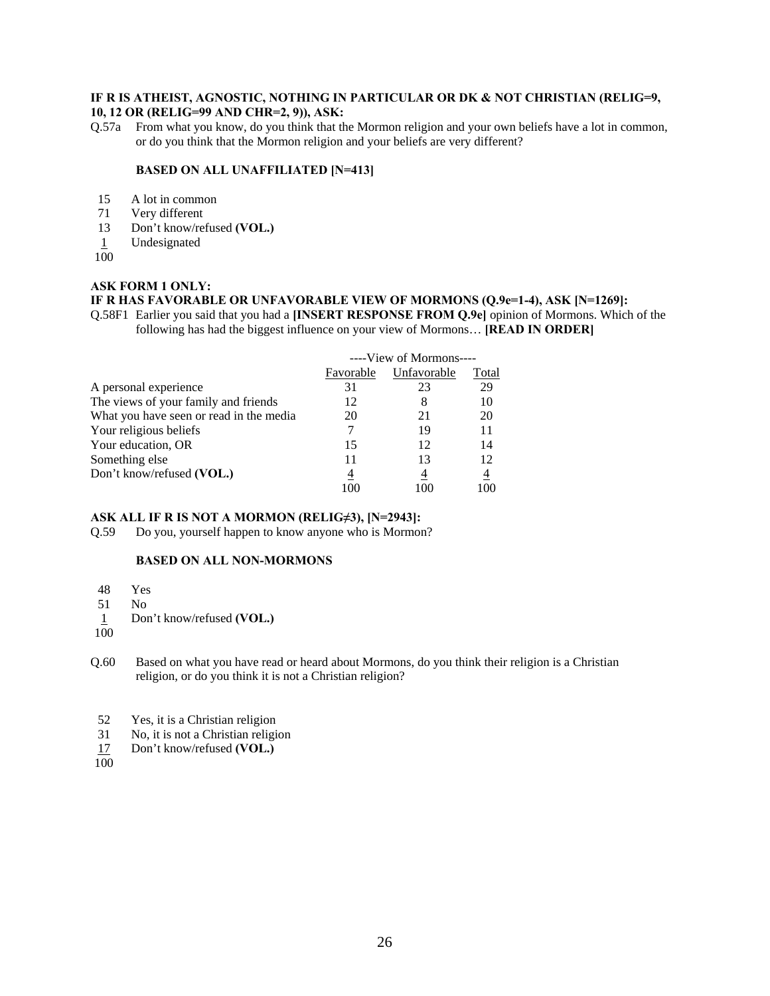# **IF R IS ATHEIST, AGNOSTIC, NOTHING IN PARTICULAR OR DK & NOT CHRISTIAN (RELIG=9,**

# **10, 12 OR (RELIG=99 AND CHR=2, 9)), ASK:**

Q.57a From what you know, do you think that the Mormon religion and your own beliefs have a lot in common, or do you think that the Mormon religion and your beliefs are very different?

#### **BASED ON ALL UNAFFILIATED [N=413]**

- 15 A lot in common
- 71 Very different<br>13 Don't know/re
- Don't know/refused **(VOL.)**
- 1 Undesignated
- 100

# **ASK FORM 1 ONLY:**

# **IF R HAS FAVORABLE OR UNFAVORABLE VIEW OF MORMONS (Q.9e=1-4), ASK [N=1269]:**

Q.58F1 Earlier you said that you had a **[INSERT RESPONSE FROM Q.9e]** opinion of Mormons. Which of the following has had the biggest influence on your view of Mormons… **[READ IN ORDER]** 

|                                         | ----View of Mormons---- |             |                |
|-----------------------------------------|-------------------------|-------------|----------------|
|                                         | Favorable               | Unfavorable | Total          |
| A personal experience                   | 31                      | 23          | 29             |
| The views of your family and friends    | 12                      | 8           | 10             |
| What you have seen or read in the media | 20                      | 21          | 20             |
| Your religious beliefs                  |                         | 19          | 11             |
| Your education, OR                      | 15                      | 12          | 14             |
| Something else                          | 11                      | 13          | 12             |
| Don't know/refused (VOL.)               | 4                       | 4           | $\overline{4}$ |
|                                         | 100                     |             | 100            |

# **ASK ALL IF R IS NOT A MORMON (RELIG≠3), [N=2943]:**

Q.59 Do you, yourself happen to know anyone who is Mormon?

# **BASED ON ALL NON-MORMONS**

- 48 Yes
- 51 No
- 1 Don't know/refused **(VOL.)**
- 100

Q.60 Based on what you have read or heard about Mormons, do you think their religion is a Christian religion, or do you think it is not a Christian religion?

- 52 Yes, it is a Christian religion
- 31 No, it is not a Christian religion
- 17 Don't know/refused **(VOL.)**
- 100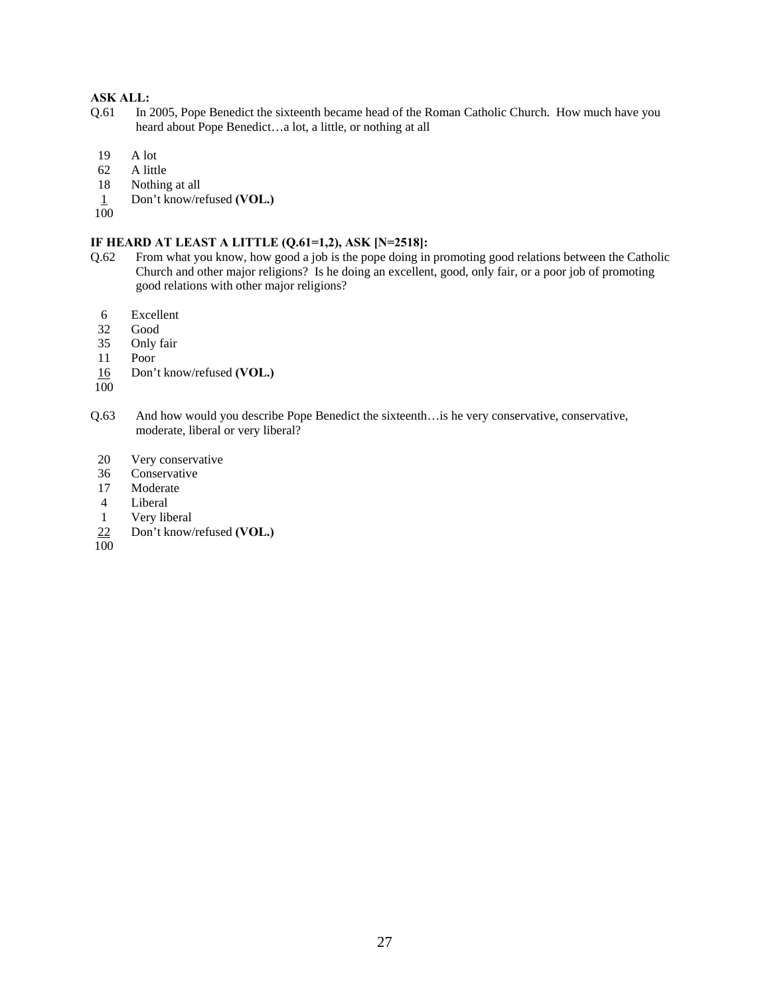# **ASK ALL:**

- Q.61 In 2005, Pope Benedict the sixteenth became head of the Roman Catholic Church. How much have you heard about Pope Benedict…a lot, a little, or nothing at all
- 19 A lot
- 62 A little
- 18 Nothing at all
- 1 Don't know/refused **(VOL.)**
- 100

# **IF HEARD AT LEAST A LITTLE (Q.61=1,2), ASK [N=2518]:**

- Q.62 From what you know, how good a job is the pope doing in promoting good relations between the Catholic Church and other major religions? Is he doing an excellent, good, only fair, or a poor job of promoting good relations with other major religions?
	- 6 Excellent
	- 32 Good
- 35 Only fair
- 11 Poor
- 16 Don't know/refused **(VOL.)**
- 100
- Q.63 And how would you describe Pope Benedict the sixteenth…is he very conservative, conservative, moderate, liberal or very liberal?
- 20 Very conservative
- 36 Conservative
- 17 Moderate
- 4 Liberal
- 1 Very liberal
- 22 Don't know/refused **(VOL.)**
- 100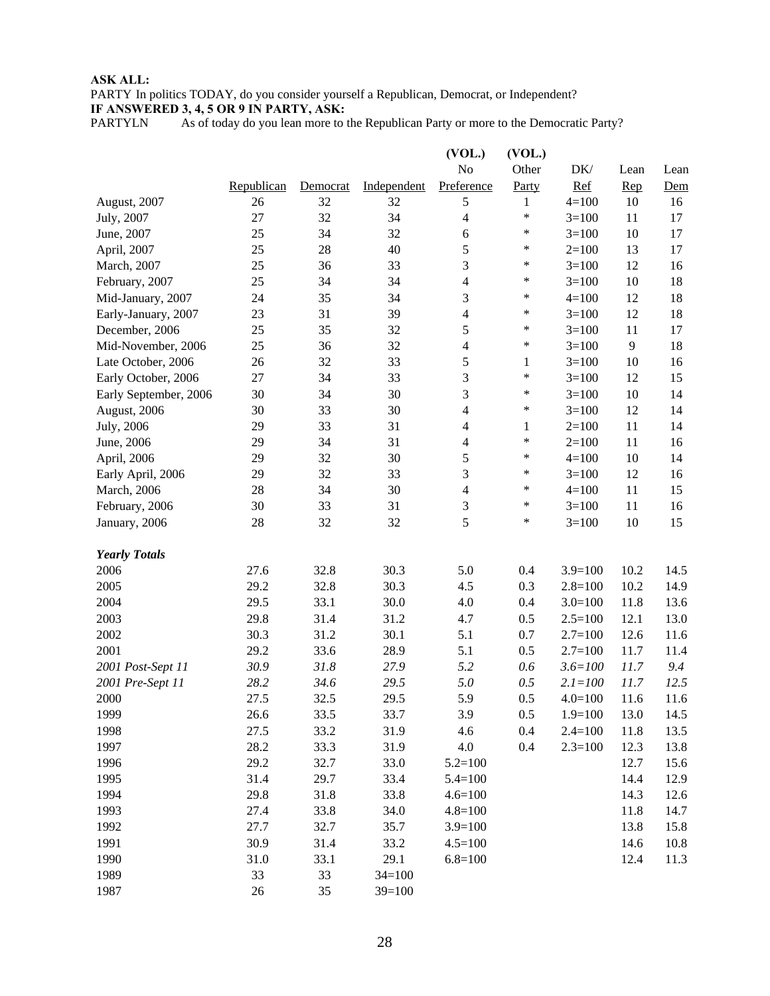# **ASK ALL:**

PARTY In politics TODAY, do you consider yourself a Republican, Democrat, or Independent? **IF ANSWERED 3, 4, 5 OR 9 IN PARTY, ASK:**

PARTYLN As of today do you lean more to the Republican Party or more to the Democratic Party?

|                       |            |          |             | (VOL.)         | (VOL.)       |             |      |      |
|-----------------------|------------|----------|-------------|----------------|--------------|-------------|------|------|
|                       |            |          |             | N <sub>o</sub> | Other        | DK/         | Lean | Lean |
|                       | Republican | Democrat | Independent | Preference     | Party        | Ref         | Rep  | Dem  |
| August, 2007          | 26         | 32       | 32          | $\sqrt{5}$     | 1            | $4 = 100$   | 10   | 16   |
| July, 2007            | 27         | 32       | 34          | $\overline{4}$ | *            | $3=100$     | 11   | 17   |
| June, 2007            | 25         | 34       | 32          | 6              | *            | $3=100$     | 10   | 17   |
| April, 2007           | 25         | 28       | 40          | 5              | $\ast$       | $2=100$     | 13   | 17   |
| March, 2007           | 25         | 36       | 33          | 3              | *            | $3=100$     | 12   | 16   |
| February, 2007        | 25         | 34       | 34          | $\overline{4}$ | $\ast$       | $3=100$     | 10   | 18   |
| Mid-January, 2007     | 24         | 35       | 34          | $\mathfrak{Z}$ | ∗            | $4 = 100$   | 12   | 18   |
| Early-January, 2007   | 23         | 31       | 39          | $\overline{4}$ | $\ast$       | $3=100$     | 12   | 18   |
| December, 2006        | 25         | 35       | 32          | 5              | $\ast$       | $3=100$     | 11   | 17   |
| Mid-November, 2006    | 25         | 36       | 32          | $\overline{4}$ | $\ast$       | $3=100$     | 9    | 18   |
| Late October, 2006    | 26         | 32       | 33          | 5              | $\mathbf{1}$ | $3=100$     | 10   | 16   |
| Early October, 2006   | 27         | 34       | 33          | 3              | *            | $3=100$     | 12   | 15   |
| Early September, 2006 | 30         | 34       | 30          | 3              | ∗            | $3=100$     | 10   | 14   |
| August, 2006          | 30         | 33       | 30          | 4              | $\ast$       | $3=100$     | 12   | 14   |
| July, 2006            | 29         | 33       | 31          | $\overline{4}$ | 1            | $2=100$     | 11   | 14   |
| June, 2006            | 29         | 34       | 31          | $\overline{4}$ | $\ast$       | $2=100$     | 11   | 16   |
| April, 2006           | 29         | 32       | 30          | $\sqrt{5}$     | $\ast$       | $4 = 100$   | 10   | 14   |
| Early April, 2006     | 29         | 32       | 33          | 3              | $\ast$       | $3=100$     | 12   | 16   |
| March, 2006           | 28         | 34       | 30          | $\overline{4}$ | ∗            | $4 = 100$   | 11   | 15   |
| February, 2006        | 30         | 33       | 31          | 3              | $\ast$       | $3=100$     | 11   | 16   |
| January, 2006         | 28         | 32       | 32          | 5              | *            | $3=100$     | 10   | 15   |
| <b>Yearly Totals</b>  |            |          |             |                |              |             |      |      |
| 2006                  | 27.6       | 32.8     | 30.3        | 5.0            | 0.4          | $3.9=100$   | 10.2 | 14.5 |
| 2005                  | 29.2       | 32.8     | 30.3        | 4.5            | 0.3          | $2.8 = 100$ | 10.2 | 14.9 |
| 2004                  | 29.5       | 33.1     | 30.0        | 4.0            | 0.4          | $3.0=100$   | 11.8 | 13.6 |
| 2003                  | 29.8       | 31.4     | 31.2        | 4.7            | 0.5          | $2.5 = 100$ | 12.1 | 13.0 |
| 2002                  | 30.3       | 31.2     | 30.1        | 5.1            | 0.7          | $2.7=100$   | 12.6 | 11.6 |
| 2001                  | 29.2       | 33.6     | 28.9        | 5.1            | 0.5          | $2.7=100$   | 11.7 | 11.4 |
| 2001 Post-Sept 11     | 30.9       | 31.8     | 27.9        | 5.2            | 0.6          | $3.6 = 100$ | 11.7 | 9.4  |
| 2001 Pre-Sept 11      | 28.2       | 34.6     | 29.5        | 5.0            | 0.5          | $2.1 = 100$ | 11.7 | 12.5 |
| 2000                  | 27.5       | 32.5     | 29.5        | 5.9            | 0.5          | $4.0 = 100$ | 11.6 | 11.6 |
| 1999                  | 26.6       | 33.5     | 33.7        | 3.9            | 0.5          | $1.9 = 100$ | 13.0 | 14.5 |
| 1998                  | 27.5       | 33.2     | 31.9        | 4.6            | 0.4          | $2.4 = 100$ | 11.8 | 13.5 |
| 1997                  | 28.2       | 33.3     | 31.9        | 4.0            | 0.4          | $2.3 = 100$ | 12.3 | 13.8 |
| 1996                  | 29.2       | 32.7     | 33.0        | $5.2 = 100$    |              |             | 12.7 | 15.6 |
| 1995                  | 31.4       | 29.7     | 33.4        | $5.4 = 100$    |              |             | 14.4 | 12.9 |
| 1994                  | 29.8       | 31.8     | 33.8        | $4.6 = 100$    |              |             | 14.3 | 12.6 |
| 1993                  | 27.4       | 33.8     | 34.0        | $4.8 = 100$    |              |             | 11.8 | 14.7 |
| 1992                  | 27.7       | 32.7     | 35.7        | $3.9=100$      |              |             | 13.8 | 15.8 |
| 1991                  | 30.9       | 31.4     | 33.2        | $4.5 = 100$    |              |             | 14.6 | 10.8 |
| 1990                  | 31.0       | 33.1     | 29.1        | $6.8 = 100$    |              |             | 12.4 | 11.3 |
| 1989                  | 33         | 33       | $34=100$    |                |              |             |      |      |
| 1987                  | 26         | 35       | $39=100$    |                |              |             |      |      |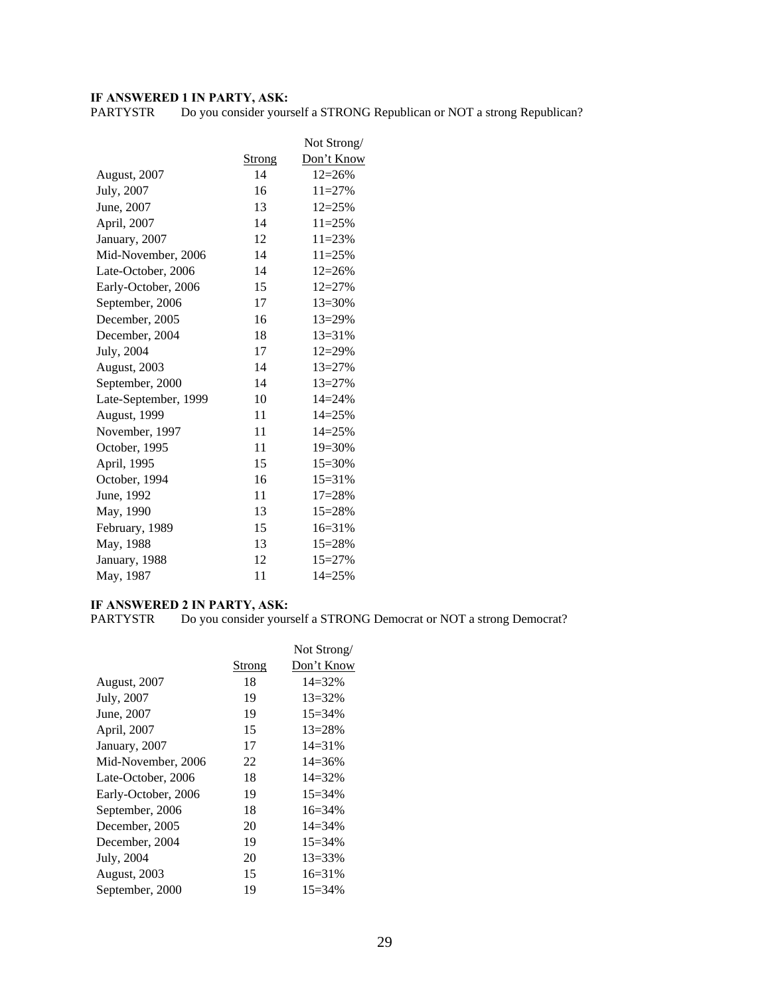**IF ANSWERED 1 IN PARTY, ASK:**<br>PARTYSTR Do you consider yours Do you consider yourself a STRONG Republican or NOT a strong Republican?

|                      |               | Not Strong/ |
|----------------------|---------------|-------------|
|                      | <b>Strong</b> | Don't Know  |
| August, 2007         | 14            | $12 = 26%$  |
| July, 2007           | 16            | $11 = 27%$  |
| June, 2007           | 13            | $12 = 25%$  |
| April, 2007          | 14            | $11 = 25%$  |
| January, 2007        | 12            | $11 = 23%$  |
| Mid-November, 2006   | 14            | $11 = 25%$  |
| Late-October, 2006   | 14            | $12 = 26%$  |
| Early-October, 2006  | 15            | $12 = 27%$  |
| September, 2006      | 17            | $13 = 30%$  |
| December, 2005       | 16            | $13 = 29\%$ |
| December, 2004       | 18            | $13 = 31%$  |
| July, 2004           | 17            | $12 = 29%$  |
| August, 2003         | 14            | $13 = 27%$  |
| September, 2000      | 14            | $13 = 27%$  |
| Late-September, 1999 | 10            | $14 = 24%$  |
| August, 1999         | 11            | 14=25%      |
| November, 1997       | 11            | $14 = 25%$  |
| October, 1995        | 11            | 19=30%      |
| April, 1995          | 15            | $15 = 30%$  |
| October, 1994        | 16            | $15 = 31%$  |
| June, 1992           | 11            | $17 = 28%$  |
| May, 1990            | 13            | 15=28%      |
| February, 1989       | 15            | $16 = 31%$  |
| May, 1988            | 13            | 15=28%      |
| January, 1988        | 12            | $15 = 27%$  |
| May, 1987            | 11            | $14 = 25%$  |

# **IF ANSWERED 2 IN PARTY, ASK:**

PARTYSTR Do you consider yourself a STRONG Democrat or NOT a strong Democrat?

|                     |        | Not Strong/ |
|---------------------|--------|-------------|
|                     | Strong | Don't Know  |
| <b>August, 2007</b> | 18     | $14 = 32%$  |
| July, 2007          | 19     | $13 = 32\%$ |
| June, 2007          | 19     | $15=34\%$   |
| April, 2007         | 15     | $13 = 28%$  |
| January, 2007       | 17     | $14 = 31\%$ |
| Mid-November, 2006  | 22     | $14 = 36\%$ |
| Late-October, 2006  | 18     | $14 = 32%$  |
| Early-October, 2006 | 19     | $15=34\%$   |
| September, 2006     | 18     | $16=34\%$   |
| December, 2005      | 20     | $14 = 34\%$ |
| December, 2004      | 19     | $15 = 34\%$ |
| July, 2004          | 20     | $13 = 33\%$ |
| <b>August, 2003</b> | 15     | $16=31%$    |
| September, 2000     | 19     | $15 = 34\%$ |